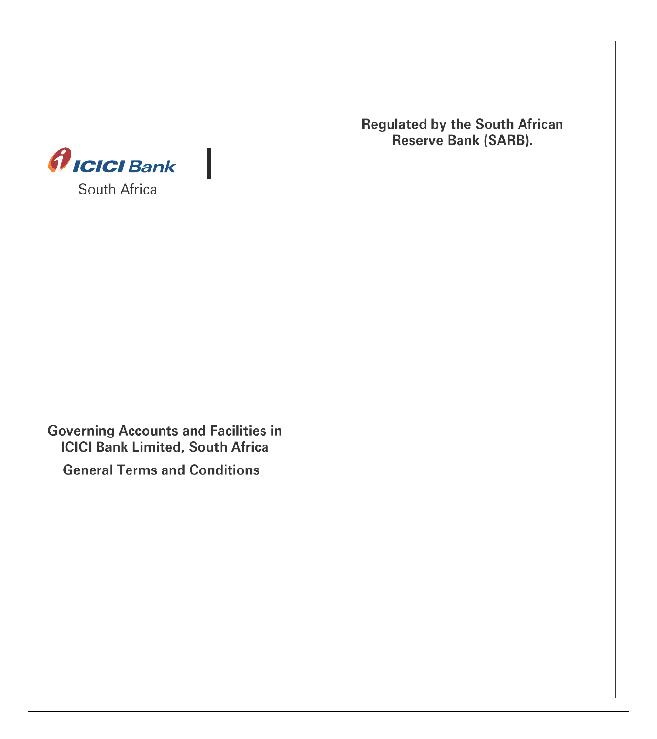

**Regulated by the South African** Reserve Bank (SARB).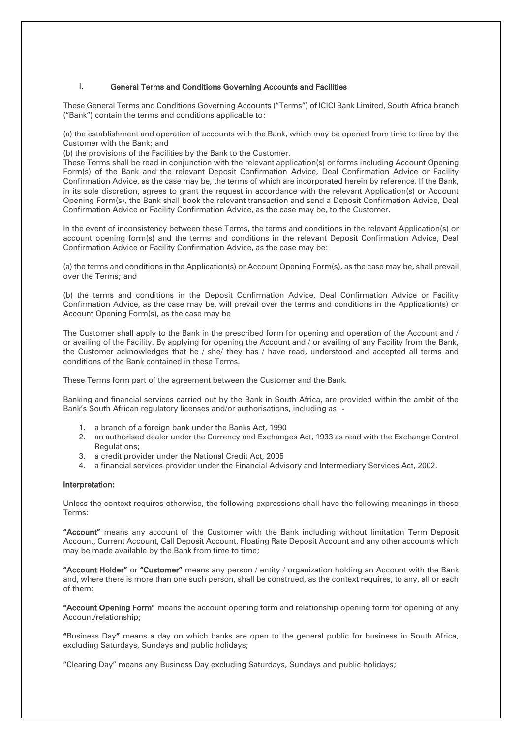# I. General Terms and Conditions Governing Accounts and Facilities

These General Terms and Conditions Governing Accounts ("Terms") of ICICI Bank Limited, South Africa branch ("Bank") contain the terms and conditions applicable to:

(a) the establishment and operation of accounts with the Bank, which may be opened from time to time by the Customer with the Bank; and

(b) the provisions of the Facilities by the Bank to the Customer.

These Terms shall be read in conjunction with the relevant application(s) or forms including Account Opening Form(s) of the Bank and the relevant Deposit Confirmation Advice, Deal Confirmation Advice or Facility Confirmation Advice, as the case may be, the terms of which are incorporated herein by reference. If the Bank, in its sole discretion, agrees to grant the request in accordance with the relevant Application(s) or Account Opening Form(s), the Bank shall book the relevant transaction and send a Deposit Confirmation Advice, Deal Confirmation Advice or Facility Confirmation Advice, as the case may be, to the Customer.

In the event of inconsistency between these Terms, the terms and conditions in the relevant Application(s) or account opening form(s) and the terms and conditions in the relevant Deposit Confirmation Advice, Deal Confirmation Advice or Facility Confirmation Advice, as the case may be:

(a) the terms and conditions in the Application(s) or Account Opening Form(s), as the case may be, shall prevail over the Terms; and

(b) the terms and conditions in the Deposit Confirmation Advice, Deal Confirmation Advice or Facility Confirmation Advice, as the case may be, will prevail over the terms and conditions in the Application(s) or Account Opening Form(s), as the case may be

The Customer shall apply to the Bank in the prescribed form for opening and operation of the Account and / or availing of the Facility. By applying for opening the Account and / or availing of any Facility from the Bank, the Customer acknowledges that he / she/ they has / have read, understood and accepted all terms and conditions of the Bank contained in these Terms.

These Terms form part of the agreement between the Customer and the Bank.

Banking and financial services carried out by the Bank in South Africa, are provided within the ambit of the Bank's South African regulatory licenses and/or authorisations, including as: -

- 1. a branch of a foreign bank under the Banks Act, 1990
- 2. an authorised dealer under the Currency and Exchanges Act, 1933 as read with the Exchange Control Regulations;
- 3. a credit provider under the National Credit Act, 2005
- 4. a financial services provider under the Financial Advisory and Intermediary Services Act, 2002.

#### Interpretation:

Unless the context requires otherwise, the following expressions shall have the following meanings in these Terms:

"Account" means any account of the Customer with the Bank including without limitation Term Deposit Account, Current Account, Call Deposit Account, Floating Rate Deposit Account and any other accounts which may be made available by the Bank from time to time;

"Account Holder" or "Customer" means any person / entity / organization holding an Account with the Bank and, where there is more than one such person, shall be construed, as the context requires, to any, all or each of them;

"Account Opening Form" means the account opening form and relationship opening form for opening of any Account/relationship;

"Business Day" means a day on which banks are open to the general public for business in South Africa, excluding Saturdays, Sundays and public holidays;

"Clearing Day" means any Business Day excluding Saturdays, Sundays and public holidays;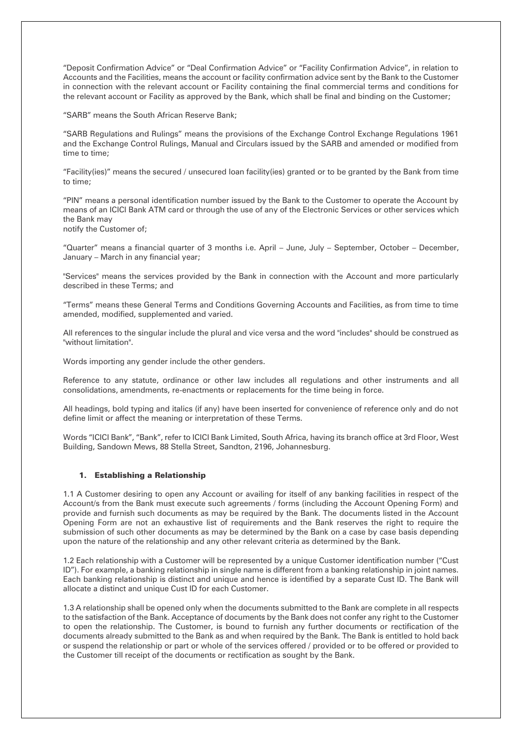"Deposit Confirmation Advice" or "Deal Confirmation Advice" or "Facility Confirmation Advice", in relation to Accounts and the Facilities, means the account or facility confirmation advice sent by the Bank to the Customer in connection with the relevant account or Facility containing the final commercial terms and conditions for the relevant account or Facility as approved by the Bank, which shall be final and binding on the Customer;

"SARB" means the South African Reserve Bank;

"SARB Regulations and Rulings" means the provisions of the Exchange Control Exchange Regulations 1961 and the Exchange Control Rulings, Manual and Circulars issued by the SARB and amended or modified from time to time;

"Facility(ies)" means the secured / unsecured loan facility(ies) granted or to be granted by the Bank from time to time;

"PIN" means a personal identification number issued by the Bank to the Customer to operate the Account by means of an ICICI Bank ATM card or through the use of any of the Electronic Services or other services which the Bank may notify the Customer of;

"Quarter" means a financial quarter of 3 months i.e. April – June, July – September, October – December, January – March in any financial year;

"Services" means the services provided by the Bank in connection with the Account and more particularly described in these Terms; and

"Terms" means these General Terms and Conditions Governing Accounts and Facilities, as from time to time amended, modified, supplemented and varied.

All references to the singular include the plural and vice versa and the word "includes" should be construed as "without limitation".

Words importing any gender include the other genders.

Reference to any statute, ordinance or other law includes all regulations and other instruments and all consolidations, amendments, re-enactments or replacements for the time being in force.

All headings, bold typing and italics (if any) have been inserted for convenience of reference only and do not define limit or affect the meaning or interpretation of these Terms.

Words "ICICI Bank", "Bank", refer to ICICI Bank Limited, South Africa, having its branch office at 3rd Floor, West Building, Sandown Mews, 88 Stella Street, Sandton, 2196, Johannesburg.

### 1. Establishing a Relationship

1.1 A Customer desiring to open any Account or availing for itself of any banking facilities in respect of the Account/s from the Bank must execute such agreements / forms (including the Account Opening Form) and provide and furnish such documents as may be required by the Bank. The documents listed in the Account Opening Form are not an exhaustive list of requirements and the Bank reserves the right to require the submission of such other documents as may be determined by the Bank on a case by case basis depending upon the nature of the relationship and any other relevant criteria as determined by the Bank.

1.2 Each relationship with a Customer will be represented by a unique Customer identification number ("Cust ID"). For example, a banking relationship in single name is different from a banking relationship in joint names. Each banking relationship is distinct and unique and hence is identified by a separate Cust ID. The Bank will allocate a distinct and unique Cust ID for each Customer.

1.3 A relationship shall be opened only when the documents submitted to the Bank are complete in all respects to the satisfaction of the Bank. Acceptance of documents by the Bank does not confer any right to the Customer to open the relationship. The Customer, is bound to furnish any further documents or rectification of the documents already submitted to the Bank as and when required by the Bank. The Bank is entitled to hold back or suspend the relationship or part or whole of the services offered / provided or to be offered or provided to the Customer till receipt of the documents or rectification as sought by the Bank.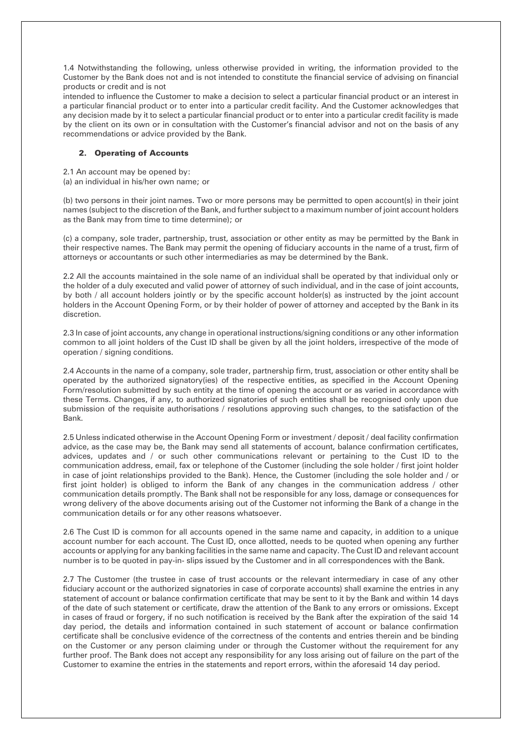1.4 Notwithstanding the following, unless otherwise provided in writing, the information provided to the Customer by the Bank does not and is not intended to constitute the financial service of advising on financial products or credit and is not

intended to influence the Customer to make a decision to select a particular financial product or an interest in a particular financial product or to enter into a particular credit facility. And the Customer acknowledges that any decision made by it to select a particular financial product or to enter into a particular credit facility is made by the client on its own or in consultation with the Customer's financial advisor and not on the basis of any recommendations or advice provided by the Bank.

## 2. Operating of Accounts

2.1 An account may be opened by:

(a) an individual in his/her own name; or

(b) two persons in their joint names. Two or more persons may be permitted to open account(s) in their joint names (subject to the discretion of the Bank, and further subject to a maximum number of joint account holders as the Bank may from time to time determine); or

(c) a company, sole trader, partnership, trust, association or other entity as may be permitted by the Bank in their respective names. The Bank may permit the opening of fiduciary accounts in the name of a trust, firm of attorneys or accountants or such other intermediaries as may be determined by the Bank.

2.2 All the accounts maintained in the sole name of an individual shall be operated by that individual only or the holder of a duly executed and valid power of attorney of such individual, and in the case of joint accounts, by both / all account holders jointly or by the specific account holder(s) as instructed by the joint account holders in the Account Opening Form, or by their holder of power of attorney and accepted by the Bank in its discretion.

2.3 In case of joint accounts, any change in operational instructions/signing conditions or any other information common to all joint holders of the Cust ID shall be given by all the joint holders, irrespective of the mode of operation / signing conditions.

2.4 Accounts in the name of a company, sole trader, partnership firm, trust, association or other entity shall be operated by the authorized signatory(ies) of the respective entities, as specified in the Account Opening Form/resolution submitted by such entity at the time of opening the account or as varied in accordance with these Terms. Changes, if any, to authorized signatories of such entities shall be recognised only upon due submission of the requisite authorisations / resolutions approving such changes, to the satisfaction of the Bank.

2.5 Unless indicated otherwise in the Account Opening Form or investment / deposit / deal facility confirmation advice, as the case may be, the Bank may send all statements of account, balance confirmation certificates, advices, updates and / or such other communications relevant or pertaining to the Cust ID to the communication address, email, fax or telephone of the Customer (including the sole holder / first joint holder in case of joint relationships provided to the Bank). Hence, the Customer (including the sole holder and / or first joint holder) is obliged to inform the Bank of any changes in the communication address / other communication details promptly. The Bank shall not be responsible for any loss, damage or consequences for wrong delivery of the above documents arising out of the Customer not informing the Bank of a change in the communication details or for any other reasons whatsoever.

2.6 The Cust ID is common for all accounts opened in the same name and capacity, in addition to a unique account number for each account. The Cust ID, once allotted, needs to be quoted when opening any further accounts or applying for any banking facilities in the same name and capacity. The Cust ID and relevant account number is to be quoted in pay-in- slips issued by the Customer and in all correspondences with the Bank.

2.7 The Customer (the trustee in case of trust accounts or the relevant intermediary in case of any other fiduciary account or the authorized signatories in case of corporate accounts) shall examine the entries in any statement of account or balance confirmation certificate that may be sent to it by the Bank and within 14 days of the date of such statement or certificate, draw the attention of the Bank to any errors or omissions. Except in cases of fraud or forgery, if no such notification is received by the Bank after the expiration of the said 14 day period, the details and information contained in such statement of account or balance confirmation certificate shall be conclusive evidence of the correctness of the contents and entries therein and be binding on the Customer or any person claiming under or through the Customer without the requirement for any further proof. The Bank does not accept any responsibility for any loss arising out of failure on the part of the Customer to examine the entries in the statements and report errors, within the aforesaid 14 day period.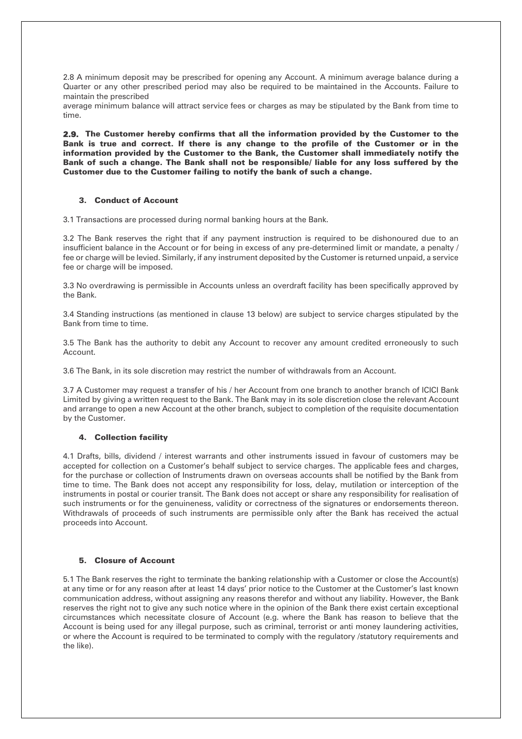2.8 A minimum deposit may be prescribed for opening any Account. A minimum average balance during a Quarter or any other prescribed period may also be required to be maintained in the Accounts. Failure to maintain the prescribed

average minimum balance will attract service fees or charges as may be stipulated by the Bank from time to time.

2.9. The Customer hereby confirms that all the information provided by the Customer to the Bank is true and correct. If there is any change to the profile of the Customer or in the information provided by the Customer to the Bank, the Customer shall immediately notify the Bank of such a change. The Bank shall not be responsible/ liable for any loss suffered by the Customer due to the Customer failing to notify the bank of such a change.

## 3. Conduct of Account

3.1 Transactions are processed during normal banking hours at the Bank.

3.2 The Bank reserves the right that if any payment instruction is required to be dishonoured due to an insufficient balance in the Account or for being in excess of any pre-determined limit or mandate, a penalty / fee or charge will be levied. Similarly, if any instrument deposited by the Customer is returned unpaid, a service fee or charge will be imposed.

3.3 No overdrawing is permissible in Accounts unless an overdraft facility has been specifically approved by the Bank.

3.4 Standing instructions (as mentioned in clause 13 below) are subject to service charges stipulated by the Bank from time to time.

3.5 The Bank has the authority to debit any Account to recover any amount credited erroneously to such Account.

3.6 The Bank, in its sole discretion may restrict the number of withdrawals from an Account.

3.7 A Customer may request a transfer of his / her Account from one branch to another branch of ICICI Bank Limited by giving a written request to the Bank. The Bank may in its sole discretion close the relevant Account and arrange to open a new Account at the other branch, subject to completion of the requisite documentation by the Customer.

# 4. Collection facility

4.1 Drafts, bills, dividend / interest warrants and other instruments issued in favour of customers may be accepted for collection on a Customer's behalf subject to service charges. The applicable fees and charges, for the purchase or collection of Instruments drawn on overseas accounts shall be notified by the Bank from time to time. The Bank does not accept any responsibility for loss, delay, mutilation or interception of the instruments in postal or courier transit. The Bank does not accept or share any responsibility for realisation of such instruments or for the genuineness, validity or correctness of the signatures or endorsements thereon. Withdrawals of proceeds of such instruments are permissible only after the Bank has received the actual proceeds into Account.

## 5. Closure of Account

5.1 The Bank reserves the right to terminate the banking relationship with a Customer or close the Account(s) at any time or for any reason after at least 14 days' prior notice to the Customer at the Customer's last known communication address, without assigning any reasons therefor and without any liability. However, the Bank reserves the right not to give any such notice where in the opinion of the Bank there exist certain exceptional circumstances which necessitate closure of Account (e.g. where the Bank has reason to believe that the Account is being used for any illegal purpose, such as criminal, terrorist or anti money laundering activities, or where the Account is required to be terminated to comply with the regulatory /statutory requirements and the like).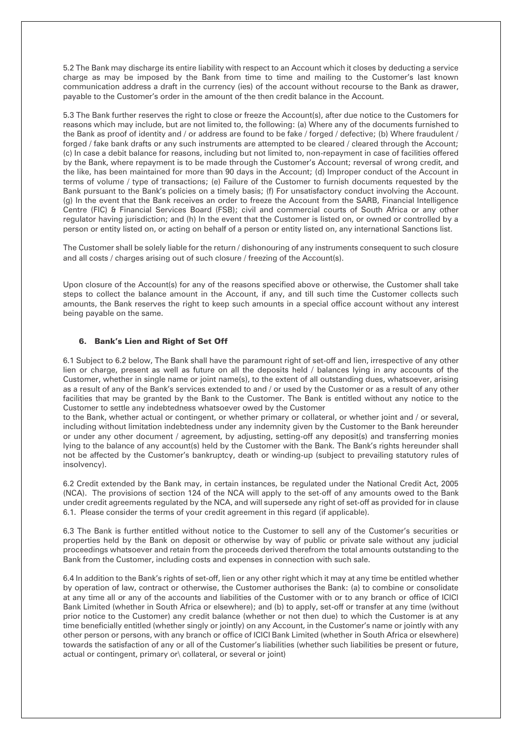5.2 The Bank may discharge its entire liability with respect to an Account which it closes by deducting a service charge as may be imposed by the Bank from time to time and mailing to the Customer's last known communication address a draft in the currency (ies) of the account without recourse to the Bank as drawer, payable to the Customer's order in the amount of the then credit balance in the Account.

5.3 The Bank further reserves the right to close or freeze the Account(s), after due notice to the Customers for reasons which may include, but are not limited to, the following: (a) Where any of the documents furnished to the Bank as proof of identity and / or address are found to be fake / forged / defective; (b) Where fraudulent / forged / fake bank drafts or any such instruments are attempted to be cleared / cleared through the Account; (c) In case a debit balance for reasons, including but not limited to, non-repayment in case of facilities offered by the Bank, where repayment is to be made through the Customer's Account; reversal of wrong credit, and the like, has been maintained for more than 90 days in the Account; (d) Improper conduct of the Account in terms of volume / type of transactions; (e) Failure of the Customer to furnish documents requested by the Bank pursuant to the Bank's policies on a timely basis; (f) For unsatisfactory conduct involving the Account. (g) In the event that the Bank receives an order to freeze the Account from the SARB, Financial Intelligence Centre (FIC) & Financial Services Board (FSB); civil and commercial courts of South Africa or any other regulator having jurisdiction; and (h) In the event that the Customer is listed on, or owned or controlled by a person or entity listed on, or acting on behalf of a person or entity listed on, any international Sanctions list.

The Customer shall be solely liable for the return / dishonouring of any instruments consequent to such closure and all costs / charges arising out of such closure / freezing of the Account(s).

Upon closure of the Account(s) for any of the reasons specified above or otherwise, the Customer shall take steps to collect the balance amount in the Account, if any, and till such time the Customer collects such amounts, the Bank reserves the right to keep such amounts in a special office account without any interest being payable on the same.

## 6. Bank's Lien and Right of Set Off

6.1 Subject to 6.2 below, The Bank shall have the paramount right of set-off and lien, irrespective of any other lien or charge, present as well as future on all the deposits held / balances lying in any accounts of the Customer, whether in single name or joint name(s), to the extent of all outstanding dues, whatsoever, arising as a result of any of the Bank's services extended to and / or used by the Customer or as a result of any other facilities that may be granted by the Bank to the Customer. The Bank is entitled without any notice to the Customer to settle any indebtedness whatsoever owed by the Customer

to the Bank, whether actual or contingent, or whether primary or collateral, or whether joint and / or several, including without limitation indebtedness under any indemnity given by the Customer to the Bank hereunder or under any other document / agreement, by adjusting, setting-off any deposit(s) and transferring monies lying to the balance of any account(s) held by the Customer with the Bank. The Bank's rights hereunder shall not be affected by the Customer's bankruptcy, death or winding-up (subject to prevailing statutory rules of insolvency).

6.2 Credit extended by the Bank may, in certain instances, be regulated under the National Credit Act, 2005 (NCA). The provisions of section 124 of the NCA will apply to the set-off of any amounts owed to the Bank under credit agreements regulated by the NCA, and will supersede any right of set-off as provided for in clause 6.1. Please consider the terms of your credit agreement in this regard (if applicable).

6.3 The Bank is further entitled without notice to the Customer to sell any of the Customer's securities or properties held by the Bank on deposit or otherwise by way of public or private sale without any judicial proceedings whatsoever and retain from the proceeds derived therefrom the total amounts outstanding to the Bank from the Customer, including costs and expenses in connection with such sale.

6.4 In addition to the Bank's rights of set-off, lien or any other right which it may at any time be entitled whether by operation of law, contract or otherwise, the Customer authorises the Bank: (a) to combine or consolidate at any time all or any of the accounts and liabilities of the Customer with or to any branch or office of ICICI Bank Limited (whether in South Africa or elsewhere); and (b) to apply, set-off or transfer at any time (without prior notice to the Customer) any credit balance (whether or not then due) to which the Customer is at any time beneficially entitled (whether singly or jointly) on any Account, in the Customer's name or jointly with any other person or persons, with any branch or office of ICICI Bank Limited (whether in South Africa or elsewhere) towards the satisfaction of any or all of the Customer's liabilities (whether such liabilities be present or future, actual or contingent, primary or\ collateral, or several or joint)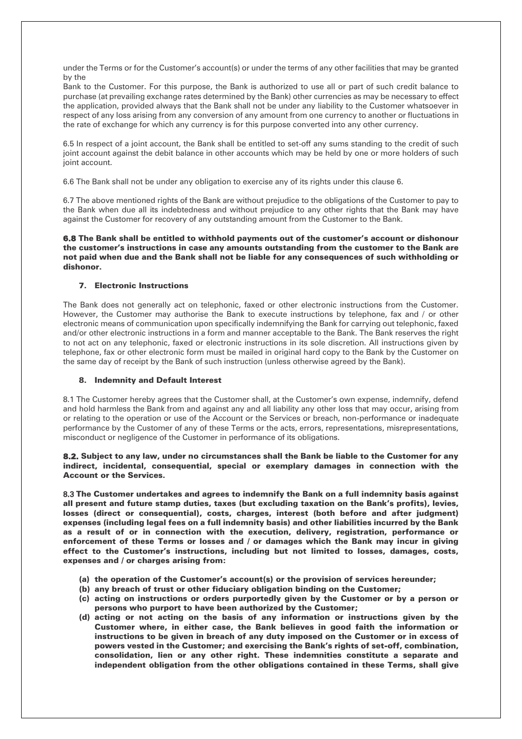under the Terms or for the Customer's account(s) or under the terms of any other facilities that may be granted by the

Bank to the Customer. For this purpose, the Bank is authorized to use all or part of such credit balance to purchase (at prevailing exchange rates determined by the Bank) other currencies as may be necessary to effect the application, provided always that the Bank shall not be under any liability to the Customer whatsoever in respect of any loss arising from any conversion of any amount from one currency to another or fluctuations in the rate of exchange for which any currency is for this purpose converted into any other currency.

6.5 In respect of a joint account, the Bank shall be entitled to set-off any sums standing to the credit of such joint account against the debit balance in other accounts which may be held by one or more holders of such joint account.

6.6 The Bank shall not be under any obligation to exercise any of its rights under this clause 6.

6.7 The above mentioned rights of the Bank are without prejudice to the obligations of the Customer to pay to the Bank when due all its indebtedness and without prejudice to any other rights that the Bank may have against the Customer for recovery of any outstanding amount from the Customer to the Bank.

6.8 The Bank shall be entitled to withhold payments out of the customer's account or dishonour the customer's instructions in case any amounts outstanding from the customer to the Bank are not paid when due and the Bank shall not be liable for any consequences of such withholding or dishonor.

# 7. Electronic Instructions

The Bank does not generally act on telephonic, faxed or other electronic instructions from the Customer. However, the Customer may authorise the Bank to execute instructions by telephone, fax and / or other electronic means of communication upon specifically indemnifying the Bank for carrying out telephonic, faxed and/or other electronic instructions in a form and manner acceptable to the Bank. The Bank reserves the right to not act on any telephonic, faxed or electronic instructions in its sole discretion. All instructions given by telephone, fax or other electronic form must be mailed in original hard copy to the Bank by the Customer on the same day of receipt by the Bank of such instruction (unless otherwise agreed by the Bank).

### 8. Indemnity and Default Interest

8.1 The Customer hereby agrees that the Customer shall, at the Customer's own expense, indemnify, defend and hold harmless the Bank from and against any and all liability any other loss that may occur, arising from or relating to the operation or use of the Account or the Services or breach, non-performance or inadequate performance by the Customer of any of these Terms or the acts, errors, representations, misrepresentations, misconduct or negligence of the Customer in performance of its obligations.

### 8.2. Subject to any law, under no circumstances shall the Bank be liable to the Customer for any indirect, incidental, consequential, special or exemplary damages in connection with the Account or the Services.

8.3 The Customer undertakes and agrees to indemnify the Bank on a full indemnity basis against all present and future stamp duties, taxes (but excluding taxation on the Bank's profits), levies, losses (direct or consequential), costs, charges, interest (both before and after judgment) expenses (including legal fees on a full indemnity basis) and other liabilities incurred by the Bank as a result of or in connection with the execution, delivery, registration, performance or enforcement of these Terms or losses and / or damages which the Bank may incur in giving effect to the Customer's instructions, including but not limited to losses, damages, costs, expenses and / or charges arising from:

- (a) the operation of the Customer's account(s) or the provision of services hereunder;
- (b) any breach of trust or other fiduciary obligation binding on the Customer;
- (c) acting on instructions or orders purportedly given by the Customer or by a person or persons who purport to have been authorized by the Customer;
- (d) acting or not acting on the basis of any information or instructions given by the Customer where, in either case, the Bank believes in good faith the information or instructions to be given in breach of any duty imposed on the Customer or in excess of powers vested in the Customer; and exercising the Bank's rights of set-off, combination, consolidation, lien or any other right. These indemnities constitute a separate and independent obligation from the other obligations contained in these Terms, shall give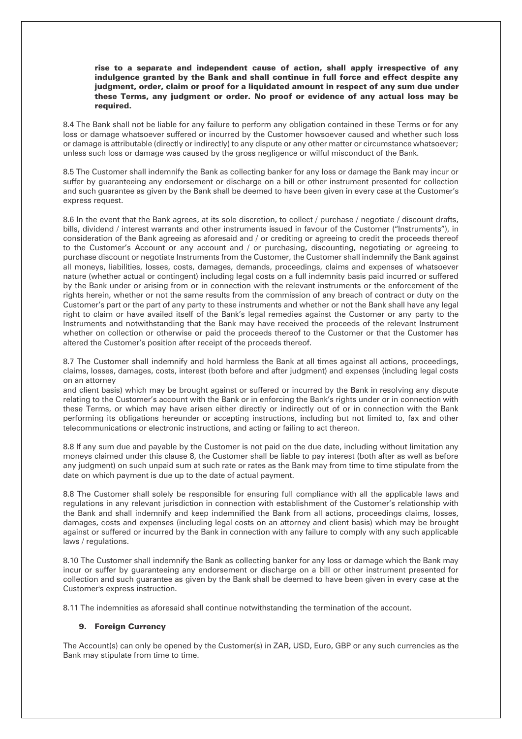rise to a separate and independent cause of action, shall apply irrespective of any indulgence granted by the Bank and shall continue in full force and effect despite any judgment, order, claim or proof for a liquidated amount in respect of any sum due under these Terms, any judgment or order. No proof or evidence of any actual loss may be required.

8.4 The Bank shall not be liable for any failure to perform any obligation contained in these Terms or for any loss or damage whatsoever suffered or incurred by the Customer howsoever caused and whether such loss or damage is attributable (directly or indirectly) to any dispute or any other matter or circumstance whatsoever; unless such loss or damage was caused by the gross negligence or wilful misconduct of the Bank.

8.5 The Customer shall indemnify the Bank as collecting banker for any loss or damage the Bank may incur or suffer by guaranteeing any endorsement or discharge on a bill or other instrument presented for collection and such guarantee as given by the Bank shall be deemed to have been given in every case at the Customer's express request.

8.6 In the event that the Bank agrees, at its sole discretion, to collect / purchase / negotiate / discount drafts, bills, dividend / interest warrants and other instruments issued in favour of the Customer ("Instruments"), in consideration of the Bank agreeing as aforesaid and / or crediting or agreeing to credit the proceeds thereof to the Customer's Account or any account and / or purchasing, discounting, negotiating or agreeing to purchase discount or negotiate Instruments from the Customer, the Customer shall indemnify the Bank against all moneys, liabilities, losses, costs, damages, demands, proceedings, claims and expenses of whatsoever nature (whether actual or contingent) including legal costs on a full indemnity basis paid incurred or suffered by the Bank under or arising from or in connection with the relevant instruments or the enforcement of the rights herein, whether or not the same results from the commission of any breach of contract or duty on the Customer's part or the part of any party to these instruments and whether or not the Bank shall have any legal right to claim or have availed itself of the Bank's legal remedies against the Customer or any party to the Instruments and notwithstanding that the Bank may have received the proceeds of the relevant Instrument whether on collection or otherwise or paid the proceeds thereof to the Customer or that the Customer has altered the Customer's position after receipt of the proceeds thereof.

8.7 The Customer shall indemnify and hold harmless the Bank at all times against all actions, proceedings, claims, losses, damages, costs, interest (both before and after judgment) and expenses (including legal costs on an attorney

and client basis) which may be brought against or suffered or incurred by the Bank in resolving any dispute relating to the Customer's account with the Bank or in enforcing the Bank's rights under or in connection with these Terms, or which may have arisen either directly or indirectly out of or in connection with the Bank performing its obligations hereunder or accepting instructions, including but not limited to, fax and other telecommunications or electronic instructions, and acting or failing to act thereon.

8.8 If any sum due and payable by the Customer is not paid on the due date, including without limitation any moneys claimed under this clause 8, the Customer shall be liable to pay interest (both after as well as before any judgment) on such unpaid sum at such rate or rates as the Bank may from time to time stipulate from the date on which payment is due up to the date of actual payment.

8.8 The Customer shall solely be responsible for ensuring full compliance with all the applicable laws and regulations in any relevant jurisdiction in connection with establishment of the Customer's relationship with the Bank and shall indemnify and keep indemnified the Bank from all actions, proceedings claims, losses, damages, costs and expenses (including legal costs on an attorney and client basis) which may be brought against or suffered or incurred by the Bank in connection with any failure to comply with any such applicable laws / regulations.

8.10 The Customer shall indemnify the Bank as collecting banker for any loss or damage which the Bank may incur or suffer by guaranteeing any endorsement or discharge on a bill or other instrument presented for collection and such guarantee as given by the Bank shall be deemed to have been given in every case at the Customer's express instruction.

8.11 The indemnities as aforesaid shall continue notwithstanding the termination of the account.

### 9. Foreign Currency

The Account(s) can only be opened by the Customer(s) in ZAR, USD, Euro, GBP or any such currencies as the Bank may stipulate from time to time.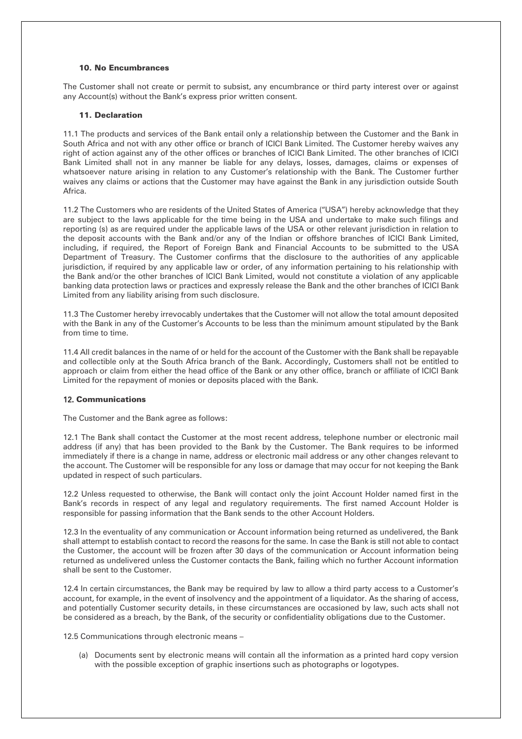### 10. No Encumbrances

The Customer shall not create or permit to subsist, any encumbrance or third party interest over or against any Account(s) without the Bank's express prior written consent.

## 11. Declaration

11.1 The products and services of the Bank entail only a relationship between the Customer and the Bank in South Africa and not with any other office or branch of ICICI Bank Limited. The Customer hereby waives any right of action against any of the other offices or branches of ICICI Bank Limited. The other branches of ICICI Bank Limited shall not in any manner be liable for any delays, losses, damages, claims or expenses of whatsoever nature arising in relation to any Customer's relationship with the Bank. The Customer further waives any claims or actions that the Customer may have against the Bank in any jurisdiction outside South Africa.

11.2 The Customers who are residents of the United States of America ("USA") hereby acknowledge that they are subject to the laws applicable for the time being in the USA and undertake to make such filings and reporting (s) as are required under the applicable laws of the USA or other relevant jurisdiction in relation to the deposit accounts with the Bank and/or any of the Indian or offshore branches of ICICI Bank Limited, including, if required, the Report of Foreign Bank and Financial Accounts to be submitted to the USA Department of Treasury. The Customer confirms that the disclosure to the authorities of any applicable jurisdiction, if required by any applicable law or order, of any information pertaining to his relationship with the Bank and/or the other branches of ICICI Bank Limited, would not constitute a violation of any applicable banking data protection laws or practices and expressly release the Bank and the other branches of ICICI Bank Limited from any liability arising from such disclosure.

11.3 The Customer hereby irrevocably undertakes that the Customer will not allow the total amount deposited with the Bank in any of the Customer's Accounts to be less than the minimum amount stipulated by the Bank from time to time.

11.4 All credit balances in the name of or held for the account of the Customer with the Bank shall be repayable and collectible only at the South Africa branch of the Bank. Accordingly, Customers shall not be entitled to approach or claim from either the head office of the Bank or any other office, branch or affiliate of ICICI Bank Limited for the repayment of monies or deposits placed with the Bank.

## 12. Communications

The Customer and the Bank agree as follows:

12.1 The Bank shall contact the Customer at the most recent address, telephone number or electronic mail address (if any) that has been provided to the Bank by the Customer. The Bank requires to be informed immediately if there is a change in name, address or electronic mail address or any other changes relevant to the account. The Customer will be responsible for any loss or damage that may occur for not keeping the Bank updated in respect of such particulars.

12.2 Unless requested to otherwise, the Bank will contact only the joint Account Holder named first in the Bank's records in respect of any legal and regulatory requirements. The first named Account Holder is responsible for passing information that the Bank sends to the other Account Holders.

12.3 In the eventuality of any communication or Account information being returned as undelivered, the Bank shall attempt to establish contact to record the reasons for the same. In case the Bank is still not able to contact the Customer, the account will be frozen after 30 days of the communication or Account information being returned as undelivered unless the Customer contacts the Bank, failing which no further Account information shall be sent to the Customer.

12.4 In certain circumstances, the Bank may be required by law to allow a third party access to a Customer's account, for example, in the event of insolvency and the appointment of a liquidator. As the sharing of access, and potentially Customer security details, in these circumstances are occasioned by law, such acts shall not be considered as a breach, by the Bank, of the security or confidentiality obligations due to the Customer.

12.5 Communications through electronic means –

(a) Documents sent by electronic means will contain all the information as a printed hard copy version with the possible exception of graphic insertions such as photographs or logotypes.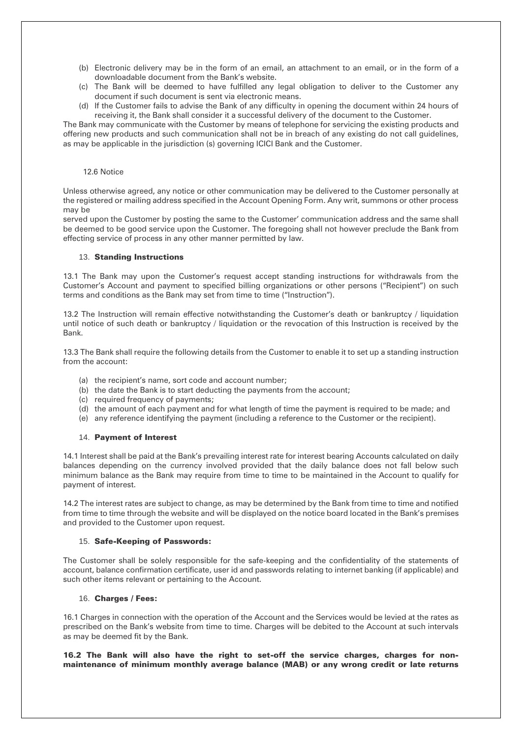- (b) Electronic delivery may be in the form of an email, an attachment to an email, or in the form of a downloadable document from the Bank's website.
- (c) The Bank will be deemed to have fulfilled any legal obligation to deliver to the Customer any document if such document is sent via electronic means.
- (d) If the Customer fails to advise the Bank of any difficulty in opening the document within 24 hours of receiving it, the Bank shall consider it a successful delivery of the document to the Customer.

The Bank may communicate with the Customer by means of telephone for servicing the existing products and offering new products and such communication shall not be in breach of any existing do not call guidelines, as may be applicable in the jurisdiction (s) governing ICICI Bank and the Customer.

#### 12.6 Notice

Unless otherwise agreed, any notice or other communication may be delivered to the Customer personally at the registered or mailing address specified in the Account Opening Form. Any writ, summons or other process may be

served upon the Customer by posting the same to the Customer' communication address and the same shall be deemed to be good service upon the Customer. The foregoing shall not however preclude the Bank from effecting service of process in any other manner permitted by law.

#### 13. Standing Instructions

13.1 The Bank may upon the Customer's request accept standing instructions for withdrawals from the Customer's Account and payment to specified billing organizations or other persons ("Recipient") on such terms and conditions as the Bank may set from time to time ("Instruction").

13.2 The Instruction will remain effective notwithstanding the Customer's death or bankruptcy / liquidation until notice of such death or bankruptcy / liquidation or the revocation of this Instruction is received by the Bank.

13.3 The Bank shall require the following details from the Customer to enable it to set up a standing instruction from the account:

- (a) the recipient's name, sort code and account number;
- (b) the date the Bank is to start deducting the payments from the account;
- (c) required frequency of payments;
- (d) the amount of each payment and for what length of time the payment is required to be made; and
- (e) any reference identifying the payment (including a reference to the Customer or the recipient).

### 14. Payment of Interest

14.1 Interest shall be paid at the Bank's prevailing interest rate for interest bearing Accounts calculated on daily balances depending on the currency involved provided that the daily balance does not fall below such minimum balance as the Bank may require from time to time to be maintained in the Account to qualify for payment of interest.

14.2 The interest rates are subject to change, as may be determined by the Bank from time to time and notified from time to time through the website and will be displayed on the notice board located in the Bank's premises and provided to the Customer upon request.

### 15. Safe-Keeping of Passwords:

The Customer shall be solely responsible for the safe-keeping and the confidentiality of the statements of account, balance confirmation certificate, user id and passwords relating to internet banking (if applicable) and such other items relevant or pertaining to the Account.

### 16. Charges / Fees:

16.1 Charges in connection with the operation of the Account and the Services would be levied at the rates as prescribed on the Bank's website from time to time. Charges will be debited to the Account at such intervals as may be deemed fit by the Bank.

## 16.2 The Bank will also have the right to set-off the service charges, charges for nonmaintenance of minimum monthly average balance (MAB) or any wrong credit or late returns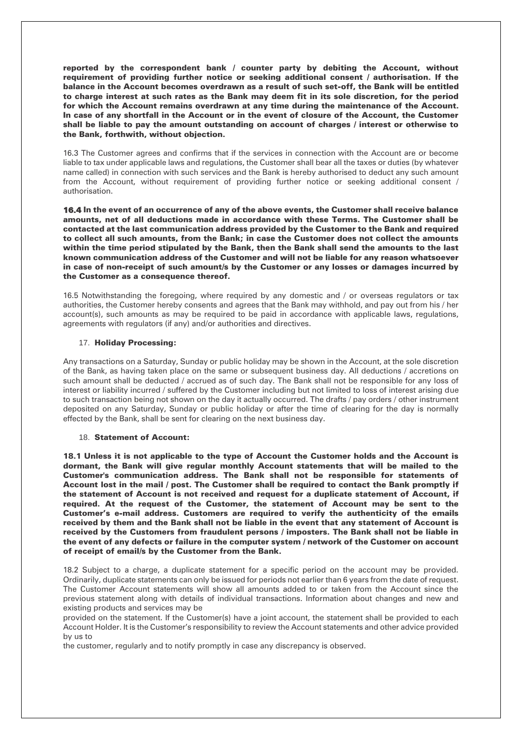reported by the correspondent bank / counter party by debiting the Account, without requirement of providing further notice or seeking additional consent / authorisation. If the balance in the Account becomes overdrawn as a result of such set-off, the Bank will be entitled to charge interest at such rates as the Bank may deem fit in its sole discretion, for the period for which the Account remains overdrawn at any time during the maintenance of the Account. In case of any shortfall in the Account or in the event of closure of the Account, the Customer shall be liable to pay the amount outstanding on account of charges / interest or otherwise to the Bank, forthwith, without objection.

16.3 The Customer agrees and confirms that if the services in connection with the Account are or become liable to tax under applicable laws and regulations, the Customer shall bear all the taxes or duties (by whatever name called) in connection with such services and the Bank is hereby authorised to deduct any such amount from the Account, without requirement of providing further notice or seeking additional consent / authorisation.

16.4 In the event of an occurrence of any of the above events, the Customer shall receive balance amounts, net of all deductions made in accordance with these Terms. The Customer shall be contacted at the last communication address provided by the Customer to the Bank and required to collect all such amounts, from the Bank; in case the Customer does not collect the amounts within the time period stipulated by the Bank, then the Bank shall send the amounts to the last known communication address of the Customer and will not be liable for any reason whatsoever in case of non-receipt of such amount/s by the Customer or any losses or damages incurred by the Customer as a consequence thereof.

16.5 Notwithstanding the foregoing, where required by any domestic and / or overseas regulators or tax authorities, the Customer hereby consents and agrees that the Bank may withhold, and pay out from his / her account(s), such amounts as may be required to be paid in accordance with applicable laws, regulations, agreements with regulators (if any) and/or authorities and directives.

## 17. Holiday Processing:

Any transactions on a Saturday, Sunday or public holiday may be shown in the Account, at the sole discretion of the Bank, as having taken place on the same or subsequent business day. All deductions / accretions on such amount shall be deducted / accrued as of such day. The Bank shall not be responsible for any loss of interest or liability incurred / suffered by the Customer including but not limited to loss of interest arising due to such transaction being not shown on the day it actually occurred. The drafts / pay orders / other instrument deposited on any Saturday, Sunday or public holiday or after the time of clearing for the day is normally effected by the Bank, shall be sent for clearing on the next business day.

### 18. Statement of Account:

18.1 Unless it is not applicable to the type of Account the Customer holds and the Account is dormant, the Bank will give regular monthly Account statements that will be mailed to the Customer's communication address. The Bank shall not be responsible for statements of Account lost in the mail / post. The Customer shall be required to contact the Bank promptly if the statement of Account is not received and request for a duplicate statement of Account, if required. At the request of the Customer, the statement of Account may be sent to the Customer's e-mail address. Customers are required to verify the authenticity of the emails received by them and the Bank shall not be liable in the event that any statement of Account is received by the Customers from fraudulent persons / imposters. The Bank shall not be liable in the event of any defects or failure in the computer system / network of the Customer on account of receipt of email/s by the Customer from the Bank.

18.2 Subject to a charge, a duplicate statement for a specific period on the account may be provided. Ordinarily, duplicate statements can only be issued for periods not earlier than 6 years from the date of request. The Customer Account statements will show all amounts added to or taken from the Account since the previous statement along with details of individual transactions. Information about changes and new and existing products and services may be

provided on the statement. If the Customer(s) have a joint account, the statement shall be provided to each Account Holder. It is the Customer's responsibility to review the Account statements and other advice provided by us to

the customer, regularly and to notify promptly in case any discrepancy is observed.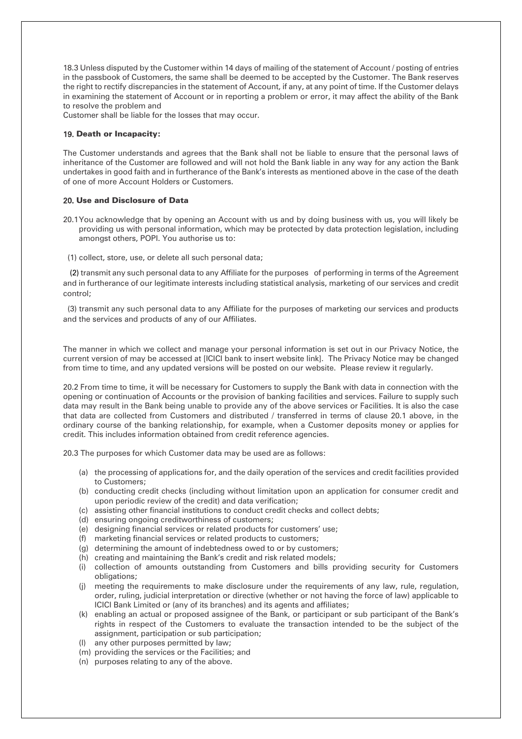18.3 Unless disputed by the Customer within 14 days of mailing of the statement of Account / posting of entries in the passbook of Customers, the same shall be deemed to be accepted by the Customer. The Bank reserves the right to rectify discrepancies in the statement of Account, if any, at any point of time. If the Customer delays in examining the statement of Account or in reporting a problem or error, it may affect the ability of the Bank to resolve the problem and

Customer shall be liable for the losses that may occur.

### 19. Death or Incapacity:

The Customer understands and agrees that the Bank shall not be liable to ensure that the personal laws of inheritance of the Customer are followed and will not hold the Bank liable in any way for any action the Bank undertakes in good faith and in furtherance of the Bank's interests as mentioned above in the case of the death of one of more Account Holders or Customers.

## 20. Use and Disclosure of Data

- 20.1You acknowledge that by opening an Account with us and by doing business with us, you will likely be providing us with personal information, which may be protected by data protection legislation, including amongst others, POPI. You authorise us to:
- (1) collect, store, use, or delete all such personal data;

 (2) transmit any such personal data to any Affiliate for the purposes of performing in terms of the Agreement and in furtherance of our legitimate interests including statistical analysis, marketing of our services and credit control;

(3) transmit any such personal data to any Affiliate for the purposes of marketing our services and products and the services and products of any of our Affiliates.

The manner in which we collect and manage your personal information is set out in our Privacy Notice, the current version of may be accessed at [ICICI bank to insert website link]. The Privacy Notice may be changed from time to time, and any updated versions will be posted on our website. Please review it regularly.

20.2 From time to time, it will be necessary for Customers to supply the Bank with data in connection with the opening or continuation of Accounts or the provision of banking facilities and services. Failure to supply such data may result in the Bank being unable to provide any of the above services or Facilities. It is also the case that data are collected from Customers and distributed / transferred in terms of clause 20.1 above, in the ordinary course of the banking relationship, for example, when a Customer deposits money or applies for credit. This includes information obtained from credit reference agencies.

20.3 The purposes for which Customer data may be used are as follows:

- (a) the processing of applications for, and the daily operation of the services and credit facilities provided to Customers;
- (b) conducting credit checks (including without limitation upon an application for consumer credit and upon periodic review of the credit) and data verification;
- (c) assisting other financial institutions to conduct credit checks and collect debts;
- (d) ensuring ongoing creditworthiness of customers;
- (e) designing financial services or related products for customers' use;
- (f) marketing financial services or related products to customers;
- (g) determining the amount of indebtedness owed to or by customers;
- (h) creating and maintaining the Bank's credit and risk related models;
- (i) collection of amounts outstanding from Customers and bills providing security for Customers obligations;
- (j) meeting the requirements to make disclosure under the requirements of any law, rule, regulation, order, ruling, judicial interpretation or directive (whether or not having the force of law) applicable to ICICI Bank Limited or (any of its branches) and its agents and affiliates;
- (k) enabling an actual or proposed assignee of the Bank, or participant or sub participant of the Bank's rights in respect of the Customers to evaluate the transaction intended to be the subject of the assignment, participation or sub participation;
- (l) any other purposes permitted by law;
- (m) providing the services or the Facilities; and
- (n) purposes relating to any of the above.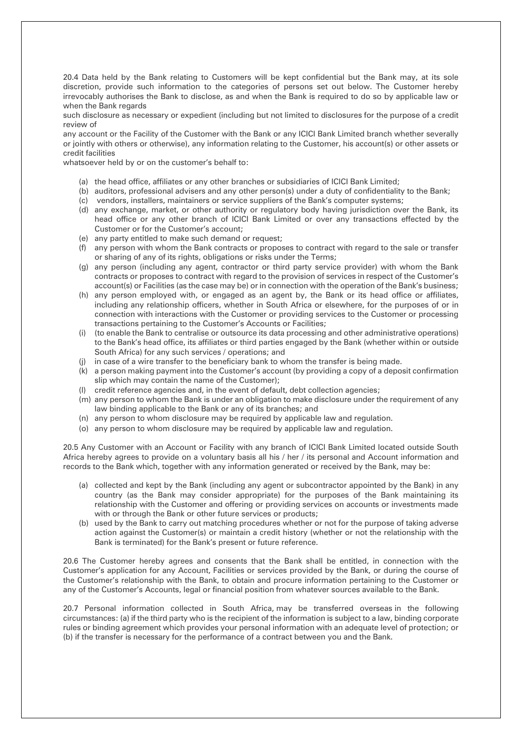20.4 Data held by the Bank relating to Customers will be kept confidential but the Bank may, at its sole discretion, provide such information to the categories of persons set out below. The Customer hereby irrevocably authorises the Bank to disclose, as and when the Bank is required to do so by applicable law or when the Bank regards

such disclosure as necessary or expedient (including but not limited to disclosures for the purpose of a credit review of

any account or the Facility of the Customer with the Bank or any ICICI Bank Limited branch whether severally or jointly with others or otherwise), any information relating to the Customer, his account(s) or other assets or credit facilities

whatsoever held by or on the customer's behalf to:

- (a) the head office, affiliates or any other branches or subsidiaries of ICICI Bank Limited;
- (b) auditors, professional advisers and any other person(s) under a duty of confidentiality to the Bank;
- (c) vendors, installers, maintainers or service suppliers of the Bank's computer systems;
- (d) any exchange, market, or other authority or regulatory body having jurisdiction over the Bank, its head office or any other branch of ICICI Bank Limited or over any transactions effected by the Customer or for the Customer's account;
- (e) any party entitled to make such demand or request;
- (f) any person with whom the Bank contracts or proposes to contract with regard to the sale or transfer or sharing of any of its rights, obligations or risks under the Terms;
- (g) any person (including any agent, contractor or third party service provider) with whom the Bank contracts or proposes to contract with regard to the provision of services in respect of the Customer's account(s) or Facilities (as the case may be) or in connection with the operation of the Bank's business;
- (h) any person employed with, or engaged as an agent by, the Bank or its head office or affiliates, including any relationship officers, whether in South Africa or elsewhere, for the purposes of or in connection with interactions with the Customer or providing services to the Customer or processing transactions pertaining to the Customer's Accounts or Facilities;
- (i) (to enable the Bank to centralise or outsource its data processing and other administrative operations) to the Bank's head office, its affiliates or third parties engaged by the Bank (whether within or outside South Africa) for any such services / operations; and
- (j) in case of a wire transfer to the beneficiary bank to whom the transfer is being made.
- (k) a person making payment into the Customer's account (by providing a copy of a deposit confirmation slip which may contain the name of the Customer);
- (l) credit reference agencies and, in the event of default, debt collection agencies;
- (m) any person to whom the Bank is under an obligation to make disclosure under the requirement of any law binding applicable to the Bank or any of its branches; and
- (n) any person to whom disclosure may be required by applicable law and regulation.
- (o) any person to whom disclosure may be required by applicable law and regulation.

20.5 Any Customer with an Account or Facility with any branch of ICICI Bank Limited located outside South Africa hereby agrees to provide on a voluntary basis all his / her / its personal and Account information and records to the Bank which, together with any information generated or received by the Bank, may be:

- (a) collected and kept by the Bank (including any agent or subcontractor appointed by the Bank) in any country (as the Bank may consider appropriate) for the purposes of the Bank maintaining its relationship with the Customer and offering or providing services on accounts or investments made with or through the Bank or other future services or products;
- (b) used by the Bank to carry out matching procedures whether or not for the purpose of taking adverse action against the Customer(s) or maintain a credit history (whether or not the relationship with the Bank is terminated) for the Bank's present or future reference.

20.6 The Customer hereby agrees and consents that the Bank shall be entitled, in connection with the Customer's application for any Account, Facilities or services provided by the Bank, or during the course of the Customer's relationship with the Bank, to obtain and procure information pertaining to the Customer or any of the Customer's Accounts, legal or financial position from whatever sources available to the Bank.

20.7 Personal information collected in South Africa, may be transferred overseas in the following circumstances: (a) if the third party who is the recipient of the information is subject to a law, binding corporate rules or binding agreement which provides your personal information with an adequate level of protection; or (b) if the transfer is necessary for the performance of a contract between you and the Bank.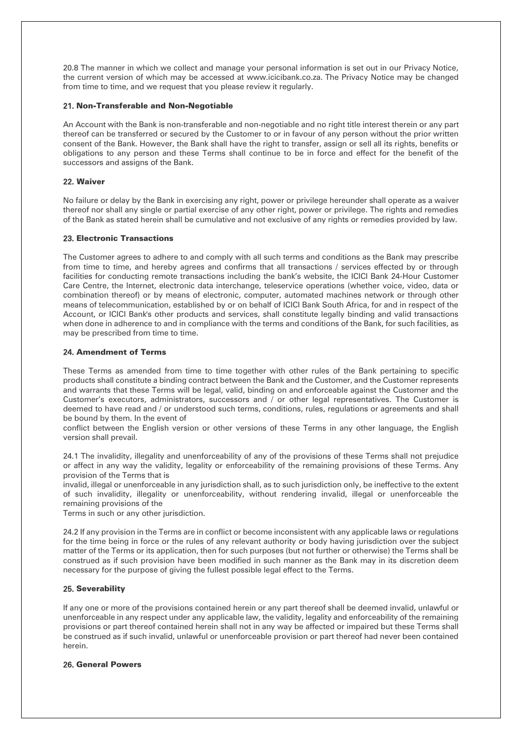20.8 The manner in which we collect and manage your personal information is set out in our Privacy Notice, the current version of which may be accessed at www.icicibank.co.za. The Privacy Notice may be changed from time to time, and we request that you please review it regularly.

## 21. Non-Transferable and Non-Negotiable

An Account with the Bank is non-transferable and non-negotiable and no right title interest therein or any part thereof can be transferred or secured by the Customer to or in favour of any person without the prior written consent of the Bank. However, the Bank shall have the right to transfer, assign or sell all its rights, benefits or obligations to any person and these Terms shall continue to be in force and effect for the benefit of the successors and assigns of the Bank.

### 22. Waiver

No failure or delay by the Bank in exercising any right, power or privilege hereunder shall operate as a waiver thereof nor shall any single or partial exercise of any other right, power or privilege. The rights and remedies of the Bank as stated herein shall be cumulative and not exclusive of any rights or remedies provided by law.

## 23. Electronic Transactions

The Customer agrees to adhere to and comply with all such terms and conditions as the Bank may prescribe from time to time, and hereby agrees and confirms that all transactions / services effected by or through facilities for conducting remote transactions including the bank's website, the ICICI Bank 24-Hour Customer Care Centre, the Internet, electronic data interchange, teleservice operations (whether voice, video, data or combination thereof) or by means of electronic, computer, automated machines network or through other means of telecommunication, established by or on behalf of ICICI Bank South Africa, for and in respect of the Account, or ICICI Bank's other products and services, shall constitute legally binding and valid transactions when done in adherence to and in compliance with the terms and conditions of the Bank, for such facilities, as may be prescribed from time to time.

### 24. Amendment of Terms

These Terms as amended from time to time together with other rules of the Bank pertaining to specific products shall constitute a binding contract between the Bank and the Customer, and the Customer represents and warrants that these Terms will be legal, valid, binding on and enforceable against the Customer and the Customer's executors, administrators, successors and / or other legal representatives. The Customer is deemed to have read and / or understood such terms, conditions, rules, regulations or agreements and shall be bound by them. In the event of

conflict between the English version or other versions of these Terms in any other language, the English version shall prevail.

24.1 The invalidity, illegality and unenforceability of any of the provisions of these Terms shall not prejudice or affect in any way the validity, legality or enforceability of the remaining provisions of these Terms. Any provision of the Terms that is

invalid, illegal or unenforceable in any jurisdiction shall, as to such jurisdiction only, be ineffective to the extent of such invalidity, illegality or unenforceability, without rendering invalid, illegal or unenforceable the remaining provisions of the

Terms in such or any other jurisdiction.

24.2 If any provision in the Terms are in conflict or become inconsistent with any applicable laws or regulations for the time being in force or the rules of any relevant authority or body having jurisdiction over the subject matter of the Terms or its application, then for such purposes (but not further or otherwise) the Terms shall be construed as if such provision have been modified in such manner as the Bank may in its discretion deem necessary for the purpose of giving the fullest possible legal effect to the Terms.

### 25. Severability

If any one or more of the provisions contained herein or any part thereof shall be deemed invalid, unlawful or unenforceable in any respect under any applicable law, the validity, legality and enforceability of the remaining provisions or part thereof contained herein shall not in any way be affected or impaired but these Terms shall be construed as if such invalid, unlawful or unenforceable provision or part thereof had never been contained herein.

### 26. General Powers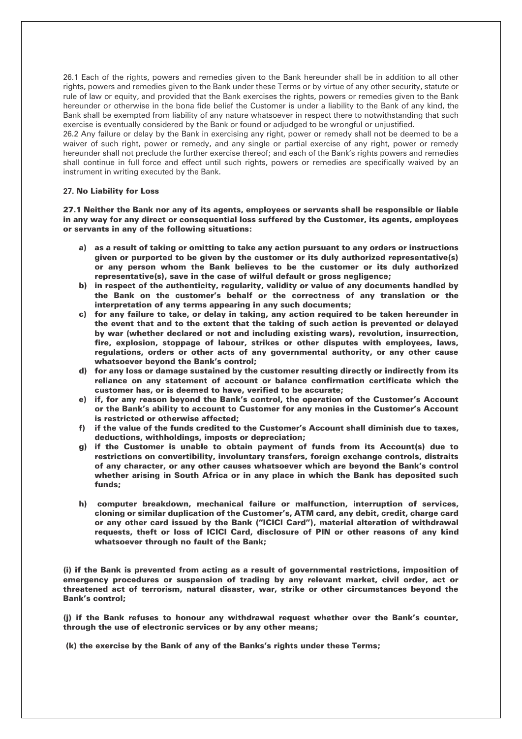26.1 Each of the rights, powers and remedies given to the Bank hereunder shall be in addition to all other rights, powers and remedies given to the Bank under these Terms or by virtue of any other security, statute or rule of law or equity, and provided that the Bank exercises the rights, powers or remedies given to the Bank hereunder or otherwise in the bona fide belief the Customer is under a liability to the Bank of any kind, the Bank shall be exempted from liability of any nature whatsoever in respect there to notwithstanding that such exercise is eventually considered by the Bank or found or adjudged to be wrongful or unjustified.

26.2 Any failure or delay by the Bank in exercising any right, power or remedy shall not be deemed to be a waiver of such right, power or remedy, and any single or partial exercise of any right, power or remedy hereunder shall not preclude the further exercise thereof; and each of the Bank's rights powers and remedies shall continue in full force and effect until such rights, powers or remedies are specifically waived by an instrument in writing executed by the Bank.

## 27. No Liability for Loss

27.1 Neither the Bank nor any of its agents, employees or servants shall be responsible or liable in any way for any direct or consequential loss suffered by the Customer, its agents, employees or servants in any of the following situations:

- a) as a result of taking or omitting to take any action pursuant to any orders or instructions given or purported to be given by the customer or its duly authorized representative(s) or any person whom the Bank believes to be the customer or its duly authorized representative(s), save in the case of wilful default or gross negligence;
- b) in respect of the authenticity, regularity, validity or value of any documents handled by the Bank on the customer's behalf or the correctness of any translation or the interpretation of any terms appearing in any such documents;
- c) for any failure to take, or delay in taking, any action required to be taken hereunder in the event that and to the extent that the taking of such action is prevented or delayed by war (whether declared or not and including existing wars), revolution, insurrection, fire, explosion, stoppage of labour, strikes or other disputes with employees, laws, regulations, orders or other acts of any governmental authority, or any other cause whatsoever beyond the Bank's control;
- d) for any loss or damage sustained by the customer resulting directly or indirectly from its reliance on any statement of account or balance confirmation certificate which the customer has, or is deemed to have, verified to be accurate;
- e) if, for any reason beyond the Bank's control, the operation of the Customer's Account or the Bank's ability to account to Customer for any monies in the Customer's Account is restricted or otherwise affected;
- f) if the value of the funds credited to the Customer's Account shall diminish due to taxes, deductions, withholdings, imposts or depreciation;
- g) if the Customer is unable to obtain payment of funds from its Account(s) due to restrictions on convertibility, involuntary transfers, foreign exchange controls, distraits of any character, or any other causes whatsoever which are beyond the Bank's control whether arising in South Africa or in any place in which the Bank has deposited such funds;
- h) computer breakdown, mechanical failure or malfunction, interruption of services, cloning or similar duplication of the Customer's, ATM card, any debit, credit, charge card or any other card issued by the Bank ("ICICI Card"), material alteration of withdrawal requests, theft or loss of ICICI Card, disclosure of PIN or other reasons of any kind whatsoever through no fault of the Bank;

(i) if the Bank is prevented from acting as a result of governmental restrictions, imposition of emergency procedures or suspension of trading by any relevant market, civil order, act or threatened act of terrorism, natural disaster, war, strike or other circumstances beyond the Bank's control;

(j) if the Bank refuses to honour any withdrawal request whether over the Bank's counter, through the use of electronic services or by any other means;

(k) the exercise by the Bank of any of the Banks's rights under these Terms;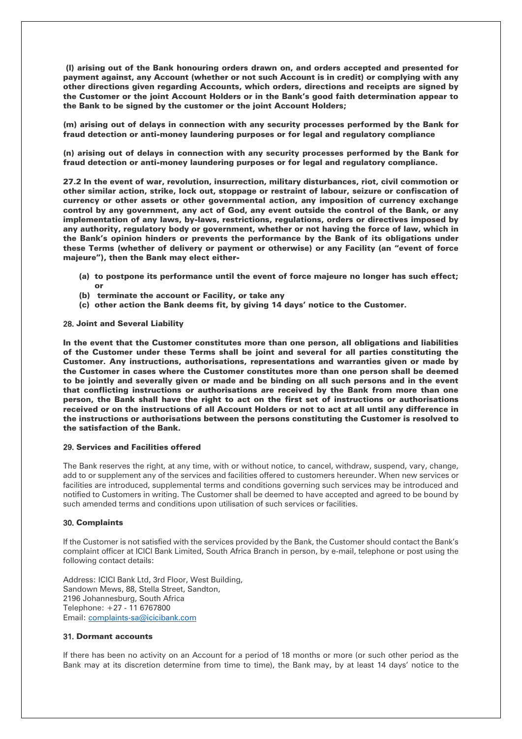(l) arising out of the Bank honouring orders drawn on, and orders accepted and presented for payment against, any Account (whether or not such Account is in credit) or complying with any other directions given regarding Accounts, which orders, directions and receipts are signed by the Customer or the joint Account Holders or in the Bank's good faith determination appear to the Bank to be signed by the customer or the joint Account Holders;

(m) arising out of delays in connection with any security processes performed by the Bank for fraud detection or anti-money laundering purposes or for legal and regulatory compliance

(n) arising out of delays in connection with any security processes performed by the Bank for fraud detection or anti-money laundering purposes or for legal and regulatory compliance.

27.2 In the event of war, revolution, insurrection, military disturbances, riot, civil commotion or other similar action, strike, lock out, stoppage or restraint of labour, seizure or confiscation of currency or other assets or other governmental action, any imposition of currency exchange control by any government, any act of God, any event outside the control of the Bank, or any implementation of any laws, by-laws, restrictions, regulations, orders or directives imposed by any authority, regulatory body or government, whether or not having the force of law, which in the Bank's opinion hinders or prevents the performance by the Bank of its obligations under these Terms (whether of delivery or payment or otherwise) or any Facility (an "event of force majeure"), then the Bank may elect either-

- (a) to postpone its performance until the event of force majeure no longer has such effect; or
- (b) terminate the account or Facility, or take any
- (c) other action the Bank deems fit, by giving 14 days' notice to the Customer.

#### 28. Joint and Several Liability

In the event that the Customer constitutes more than one person, all obligations and liabilities of the Customer under these Terms shall be joint and several for all parties constituting the Customer. Any instructions, authorisations, representations and warranties given or made by the Customer in cases where the Customer constitutes more than one person shall be deemed to be jointly and severally given or made and be binding on all such persons and in the event that conflicting instructions or authorisations are received by the Bank from more than one person, the Bank shall have the right to act on the first set of instructions or authorisations received or on the instructions of all Account Holders or not to act at all until any difference in the instructions or authorisations between the persons constituting the Customer is resolved to the satisfaction of the Bank.

#### 29. Services and Facilities offered

The Bank reserves the right, at any time, with or without notice, to cancel, withdraw, suspend, vary, change, add to or supplement any of the services and facilities offered to customers hereunder. When new services or facilities are introduced, supplemental terms and conditions governing such services may be introduced and notified to Customers in writing. The Customer shall be deemed to have accepted and agreed to be bound by such amended terms and conditions upon utilisation of such services or facilities.

#### 30. Complaints

If the Customer is not satisfied with the services provided by the Bank, the Customer should contact the Bank's complaint officer at ICICI Bank Limited, South Africa Branch in person, by e-mail, telephone or post using the following contact details:

Address: ICICI Bank Ltd, 3rd Floor, West Building, Sandown Mews, 88, Stella Street, Sandton, 2196 Johannesburg, South Africa Telephone: +27 - 11 6767800 Email[: complaints-sa@icicibank.com](mailto:complaints-sa@icicibank.com)

## 31. Dormant accounts

If there has been no activity on an Account for a period of 18 months or more (or such other period as the Bank may at its discretion determine from time to time), the Bank may, by at least 14 days' notice to the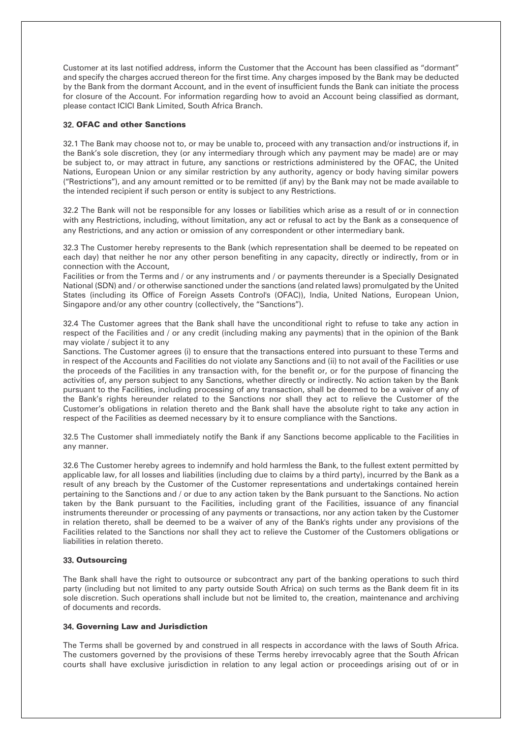Customer at its last notified address, inform the Customer that the Account has been classified as "dormant" and specify the charges accrued thereon for the first time. Any charges imposed by the Bank may be deducted by the Bank from the dormant Account, and in the event of insufficient funds the Bank can initiate the process for closure of the Account. For information regarding how to avoid an Account being classified as dormant, please contact ICICI Bank Limited, South Africa Branch.

## 32. OFAC and other Sanctions

32.1 The Bank may choose not to, or may be unable to, proceed with any transaction and/or instructions if, in the Bank's sole discretion, they (or any intermediary through which any payment may be made) are or may be subject to, or may attract in future, any sanctions or restrictions administered by the OFAC, the United Nations, European Union or any similar restriction by any authority, agency or body having similar powers ("Restrictions"), and any amount remitted or to be remitted (if any) by the Bank may not be made available to the intended recipient if such person or entity is subject to any Restrictions.

32.2 The Bank will not be responsible for any losses or liabilities which arise as a result of or in connection with any Restrictions, including, without limitation, any act or refusal to act by the Bank as a consequence of any Restrictions, and any action or omission of any correspondent or other intermediary bank.

32.3 The Customer hereby represents to the Bank (which representation shall be deemed to be repeated on each day) that neither he nor any other person benefiting in any capacity, directly or indirectly, from or in connection with the Account,

Facilities or from the Terms and / or any instruments and / or payments thereunder is a Specially Designated National (SDN) and / or otherwise sanctioned under the sanctions (and related laws) promulgated by the United States (including its Office of Foreign Assets Control's (OFAC)), India, United Nations, European Union, Singapore and/or any other country (collectively, the "Sanctions").

32.4 The Customer agrees that the Bank shall have the unconditional right to refuse to take any action in respect of the Facilities and / or any credit (including making any payments) that in the opinion of the Bank may violate / subject it to any

Sanctions. The Customer agrees (i) to ensure that the transactions entered into pursuant to these Terms and in respect of the Accounts and Facilities do not violate any Sanctions and (ii) to not avail of the Facilities or use the proceeds of the Facilities in any transaction with, for the benefit or, or for the purpose of financing the activities of, any person subject to any Sanctions, whether directly or indirectly. No action taken by the Bank pursuant to the Facilities, including processing of any transaction, shall be deemed to be a waiver of any of the Bank's rights hereunder related to the Sanctions nor shall they act to relieve the Customer of the Customer's obligations in relation thereto and the Bank shall have the absolute right to take any action in respect of the Facilities as deemed necessary by it to ensure compliance with the Sanctions.

32.5 The Customer shall immediately notify the Bank if any Sanctions become applicable to the Facilities in any manner.

32.6 The Customer hereby agrees to indemnify and hold harmless the Bank, to the fullest extent permitted by applicable law, for all losses and liabilities (including due to claims by a third party), incurred by the Bank as a result of any breach by the Customer of the Customer representations and undertakings contained herein pertaining to the Sanctions and / or due to any action taken by the Bank pursuant to the Sanctions. No action taken by the Bank pursuant to the Facilities, including grant of the Facilities, issuance of any financial instruments thereunder or processing of any payments or transactions, nor any action taken by the Customer in relation thereto, shall be deemed to be a waiver of any of the Bank's rights under any provisions of the Facilities related to the Sanctions nor shall they act to relieve the Customer of the Customers obligations or liabilities in relation thereto.

### 33. Outsourcing

The Bank shall have the right to outsource or subcontract any part of the banking operations to such third party (including but not limited to any party outside South Africa) on such terms as the Bank deem fit in its sole discretion. Such operations shall include but not be limited to, the creation, maintenance and archiving of documents and records.

### 34. Governing Law and Jurisdiction

The Terms shall be governed by and construed in all respects in accordance with the laws of South Africa. The customers governed by the provisions of these Terms hereby irrevocably agree that the South African courts shall have exclusive jurisdiction in relation to any legal action or proceedings arising out of or in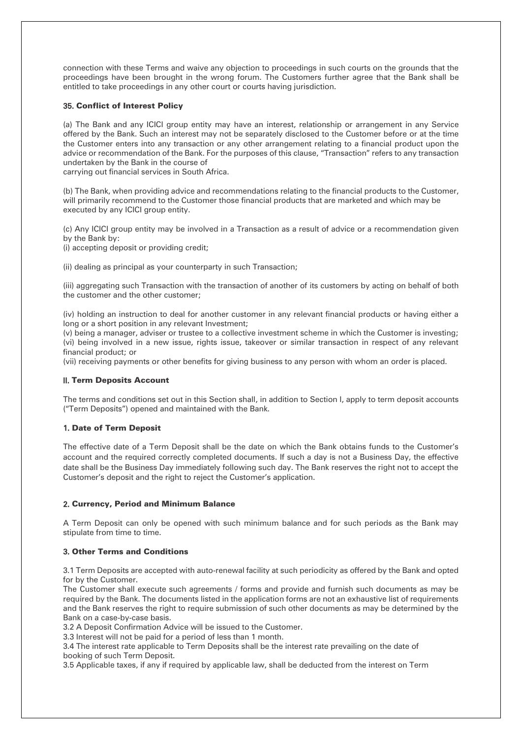connection with these Terms and waive any objection to proceedings in such courts on the grounds that the proceedings have been brought in the wrong forum. The Customers further agree that the Bank shall be entitled to take proceedings in any other court or courts having jurisdiction.

# 35. Conflict of Interest Policy

(a) The Bank and any ICICI group entity may have an interest, relationship or arrangement in any Service offered by the Bank. Such an interest may not be separately disclosed to the Customer before or at the time the Customer enters into any transaction or any other arrangement relating to a financial product upon the advice or recommendation of the Bank. For the purposes of this clause, "Transaction" refers to any transaction undertaken by the Bank in the course of

carrying out financial services in South Africa.

(b) The Bank, when providing advice and recommendations relating to the financial products to the Customer, will primarily recommend to the Customer those financial products that are marketed and which may be executed by any ICICI group entity.

(c) Any ICICI group entity may be involved in a Transaction as a result of advice or a recommendation given by the Bank by:

(i) accepting deposit or providing credit;

(ii) dealing as principal as your counterparty in such Transaction;

(iii) aggregating such Transaction with the transaction of another of its customers by acting on behalf of both the customer and the other customer;

(iv) holding an instruction to deal for another customer in any relevant financial products or having either a long or a short position in any relevant Investment;

(v) being a manager, adviser or trustee to a collective investment scheme in which the Customer is investing; (vi) being involved in a new issue, rights issue, takeover or similar transaction in respect of any relevant financial product; or

(vii) receiving payments or other benefits for giving business to any person with whom an order is placed.

### II. Term Deposits Account

The terms and conditions set out in this Section shall, in addition to Section I, apply to term deposit accounts ("Term Deposits") opened and maintained with the Bank.

### 1. Date of Term Deposit

The effective date of a Term Deposit shall be the date on which the Bank obtains funds to the Customer's account and the required correctly completed documents. If such a day is not a Business Day, the effective date shall be the Business Day immediately following such day. The Bank reserves the right not to accept the Customer's deposit and the right to reject the Customer's application.

### 2. Currency, Period and Minimum Balance

A Term Deposit can only be opened with such minimum balance and for such periods as the Bank may stipulate from time to time.

### 3. Other Terms and Conditions

3.1 Term Deposits are accepted with auto-renewal facility at such periodicity as offered by the Bank and opted for by the Customer.

The Customer shall execute such agreements / forms and provide and furnish such documents as may be required by the Bank. The documents listed in the application forms are not an exhaustive list of requirements and the Bank reserves the right to require submission of such other documents as may be determined by the Bank on a case-by-case basis.

3.2 A Deposit Confirmation Advice will be issued to the Customer.

3.3 Interest will not be paid for a period of less than 1 month.

3.4 The interest rate applicable to Term Deposits shall be the interest rate prevailing on the date of booking of such Term Deposit.

3.5 Applicable taxes, if any if required by applicable law, shall be deducted from the interest on Term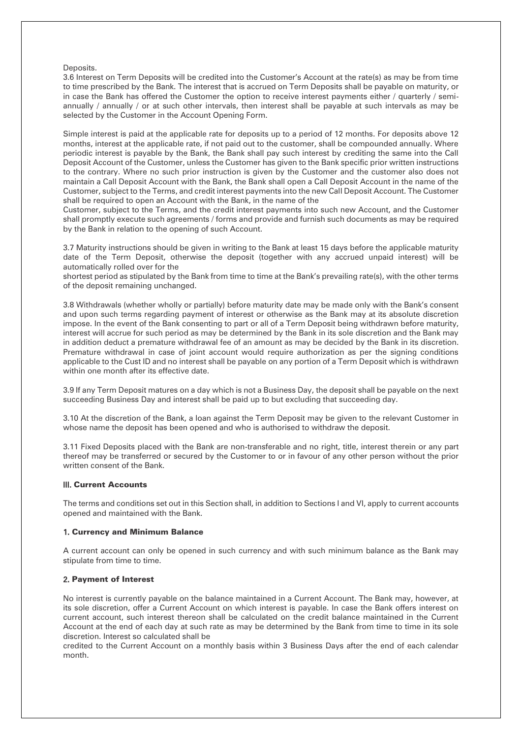#### Deposits.

3.6 Interest on Term Deposits will be credited into the Customer's Account at the rate(s) as may be from time to time prescribed by the Bank. The interest that is accrued on Term Deposits shall be payable on maturity, or in case the Bank has offered the Customer the option to receive interest payments either / quarterly / semiannually / annually / or at such other intervals, then interest shall be payable at such intervals as may be selected by the Customer in the Account Opening Form.

Simple interest is paid at the applicable rate for deposits up to a period of 12 months. For deposits above 12 months, interest at the applicable rate, if not paid out to the customer, shall be compounded annually. Where periodic interest is payable by the Bank, the Bank shall pay such interest by crediting the same into the Call Deposit Account of the Customer, unless the Customer has given to the Bank specific prior written instructions to the contrary. Where no such prior instruction is given by the Customer and the customer also does not maintain a Call Deposit Account with the Bank, the Bank shall open a Call Deposit Account in the name of the Customer, subject to the Terms, and credit interest payments into the new Call Deposit Account. The Customer shall be required to open an Account with the Bank, in the name of the

Customer, subject to the Terms, and the credit interest payments into such new Account, and the Customer shall promptly execute such agreements / forms and provide and furnish such documents as may be required by the Bank in relation to the opening of such Account.

3.7 Maturity instructions should be given in writing to the Bank at least 15 days before the applicable maturity date of the Term Deposit, otherwise the deposit (together with any accrued unpaid interest) will be automatically rolled over for the

shortest period as stipulated by the Bank from time to time at the Bank's prevailing rate(s), with the other terms of the deposit remaining unchanged.

3.8 Withdrawals (whether wholly or partially) before maturity date may be made only with the Bank's consent and upon such terms regarding payment of interest or otherwise as the Bank may at its absolute discretion impose. In the event of the Bank consenting to part or all of a Term Deposit being withdrawn before maturity, interest will accrue for such period as may be determined by the Bank in its sole discretion and the Bank may in addition deduct a premature withdrawal fee of an amount as may be decided by the Bank in its discretion. Premature withdrawal in case of joint account would require authorization as per the signing conditions applicable to the Cust ID and no interest shall be payable on any portion of a Term Deposit which is withdrawn within one month after its effective date.

3.9 If any Term Deposit matures on a day which is not a Business Day, the deposit shall be payable on the next succeeding Business Day and interest shall be paid up to but excluding that succeeding day.

3.10 At the discretion of the Bank, a loan against the Term Deposit may be given to the relevant Customer in whose name the deposit has been opened and who is authorised to withdraw the deposit.

3.11 Fixed Deposits placed with the Bank are non-transferable and no right, title, interest therein or any part thereof may be transferred or secured by the Customer to or in favour of any other person without the prior written consent of the Bank.

### III. Current Accounts

The terms and conditions set out in this Section shall, in addition to Sections I and VI, apply to current accounts opened and maintained with the Bank.

### 1. Currency and Minimum Balance

A current account can only be opened in such currency and with such minimum balance as the Bank may stipulate from time to time.

#### 2. Payment of Interest

No interest is currently payable on the balance maintained in a Current Account. The Bank may, however, at its sole discretion, offer a Current Account on which interest is payable. In case the Bank offers interest on current account, such interest thereon shall be calculated on the credit balance maintained in the Current Account at the end of each day at such rate as may be determined by the Bank from time to time in its sole discretion. Interest so calculated shall be

credited to the Current Account on a monthly basis within 3 Business Days after the end of each calendar month.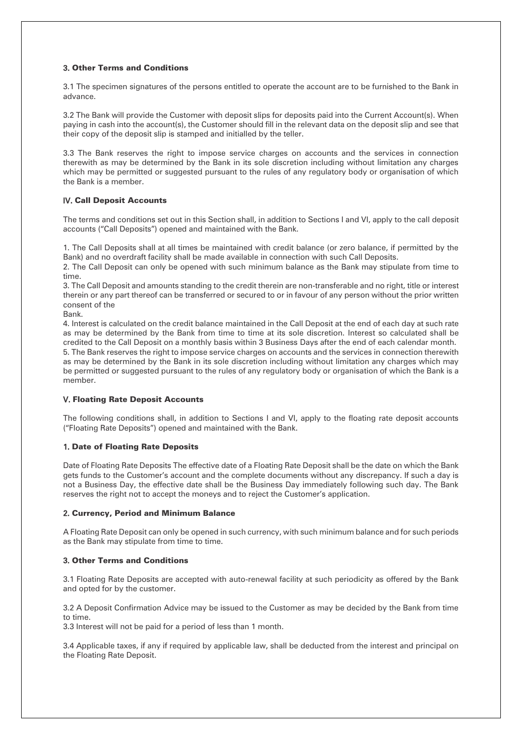# 3. Other Terms and Conditions

3.1 The specimen signatures of the persons entitled to operate the account are to be furnished to the Bank in advance.

3.2 The Bank will provide the Customer with deposit slips for deposits paid into the Current Account(s). When paying in cash into the account(s), the Customer should fill in the relevant data on the deposit slip and see that their copy of the deposit slip is stamped and initialled by the teller.

3.3 The Bank reserves the right to impose service charges on accounts and the services in connection therewith as may be determined by the Bank in its sole discretion including without limitation any charges which may be permitted or suggested pursuant to the rules of any regulatory body or organisation of which the Bank is a member.

# IV. Call Deposit Accounts

The terms and conditions set out in this Section shall, in addition to Sections I and VI, apply to the call deposit accounts ("Call Deposits") opened and maintained with the Bank.

1. The Call Deposits shall at all times be maintained with credit balance (or zero balance, if permitted by the Bank) and no overdraft facility shall be made available in connection with such Call Deposits.

2. The Call Deposit can only be opened with such minimum balance as the Bank may stipulate from time to time.

3. The Call Deposit and amounts standing to the credit therein are non-transferable and no right, title or interest therein or any part thereof can be transferred or secured to or in favour of any person without the prior written consent of the

Bank.

4. Interest is calculated on the credit balance maintained in the Call Deposit at the end of each day at such rate as may be determined by the Bank from time to time at its sole discretion. Interest so calculated shall be credited to the Call Deposit on a monthly basis within 3 Business Days after the end of each calendar month. 5. The Bank reserves the right to impose service charges on accounts and the services in connection therewith as may be determined by the Bank in its sole discretion including without limitation any charges which may be permitted or suggested pursuant to the rules of any regulatory body or organisation of which the Bank is a member.

# V. Floating Rate Deposit Accounts

The following conditions shall, in addition to Sections I and VI, apply to the floating rate deposit accounts ("Floating Rate Deposits") opened and maintained with the Bank.

# 1. Date of Floating Rate Deposits

Date of Floating Rate Deposits The effective date of a Floating Rate Deposit shall be the date on which the Bank gets funds to the Customer's account and the complete documents without any discrepancy. If such a day is not a Business Day, the effective date shall be the Business Day immediately following such day. The Bank reserves the right not to accept the moneys and to reject the Customer's application.

### 2. Currency, Period and Minimum Balance

A Floating Rate Deposit can only be opened in such currency, with such minimum balance and for such periods as the Bank may stipulate from time to time.

# 3. Other Terms and Conditions

3.1 Floating Rate Deposits are accepted with auto-renewal facility at such periodicity as offered by the Bank and opted for by the customer.

3.2 A Deposit Confirmation Advice may be issued to the Customer as may be decided by the Bank from time to time.

3.3 Interest will not be paid for a period of less than 1 month.

3.4 Applicable taxes, if any if required by applicable law, shall be deducted from the interest and principal on the Floating Rate Deposit.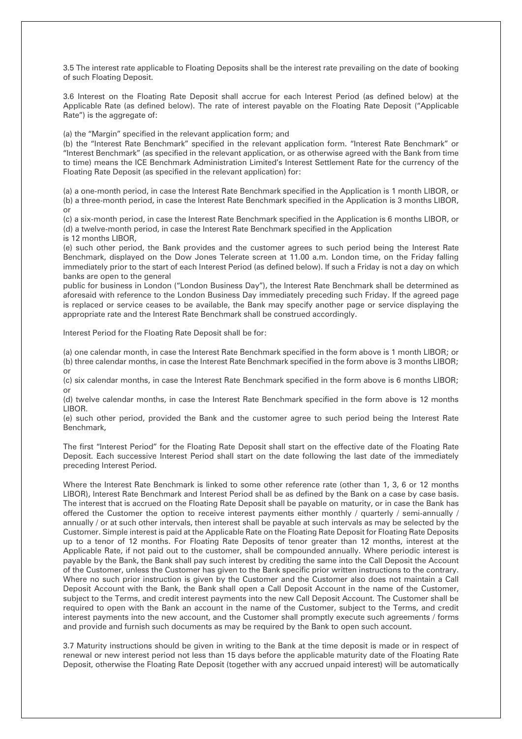3.5 The interest rate applicable to Floating Deposits shall be the interest rate prevailing on the date of booking of such Floating Deposit.

3.6 Interest on the Floating Rate Deposit shall accrue for each Interest Period (as defined below) at the Applicable Rate (as defined below). The rate of interest payable on the Floating Rate Deposit ("Applicable Rate") is the aggregate of:

(a) the "Margin" specified in the relevant application form; and

(b) the "Interest Rate Benchmark" specified in the relevant application form. "Interest Rate Benchmark" or "Interest Benchmark" (as specified in the relevant application, or as otherwise agreed with the Bank from time to time) means the ICE Benchmark Administration Limited's Interest Settlement Rate for the currency of the Floating Rate Deposit (as specified in the relevant application) for:

(a) a one-month period, in case the Interest Rate Benchmark specified in the Application is 1 month LIBOR, or (b) a three-month period, in case the Interest Rate Benchmark specified in the Application is 3 months LIBOR, or

(c) a six-month period, in case the Interest Rate Benchmark specified in the Application is 6 months LIBOR, or (d) a twelve-month period, in case the Interest Rate Benchmark specified in the Application is 12 months LIBOR,

(e) such other period, the Bank provides and the customer agrees to such period being the Interest Rate Benchmark, displayed on the Dow Jones Telerate screen at 11.00 a.m. London time, on the Friday falling immediately prior to the start of each Interest Period (as defined below). If such a Friday is not a day on which banks are open to the general

public for business in London ("London Business Day"), the Interest Rate Benchmark shall be determined as aforesaid with reference to the London Business Day immediately preceding such Friday. If the agreed page is replaced or service ceases to be available, the Bank may specify another page or service displaying the appropriate rate and the Interest Rate Benchmark shall be construed accordingly.

Interest Period for the Floating Rate Deposit shall be for:

(a) one calendar month, in case the Interest Rate Benchmark specified in the form above is 1 month LIBOR; or (b) three calendar months, in case the Interest Rate Benchmark specified in the form above is 3 months LIBOR; or

(c) six calendar months, in case the Interest Rate Benchmark specified in the form above is 6 months LIBOR; or

(d) twelve calendar months, in case the Interest Rate Benchmark specified in the form above is 12 months LIBOR.

(e) such other period, provided the Bank and the customer agree to such period being the Interest Rate Benchmark,

The first "Interest Period" for the Floating Rate Deposit shall start on the effective date of the Floating Rate Deposit. Each successive Interest Period shall start on the date following the last date of the immediately preceding Interest Period.

Where the Interest Rate Benchmark is linked to some other reference rate (other than 1, 3, 6 or 12 months LIBOR), Interest Rate Benchmark and Interest Period shall be as defined by the Bank on a case by case basis. The interest that is accrued on the Floating Rate Deposit shall be payable on maturity, or in case the Bank has offered the Customer the option to receive interest payments either monthly / quarterly / semi-annually / annually / or at such other intervals, then interest shall be payable at such intervals as may be selected by the Customer. Simple interest is paid at the Applicable Rate on the Floating Rate Deposit for Floating Rate Deposits up to a tenor of 12 months. For Floating Rate Deposits of tenor greater than 12 months, interest at the Applicable Rate, if not paid out to the customer, shall be compounded annually. Where periodic interest is payable by the Bank, the Bank shall pay such interest by crediting the same into the Call Deposit the Account of the Customer, unless the Customer has given to the Bank specific prior written instructions to the contrary. Where no such prior instruction is given by the Customer and the Customer also does not maintain a Call Deposit Account with the Bank, the Bank shall open a Call Deposit Account in the name of the Customer, subject to the Terms, and credit interest payments into the new Call Deposit Account. The Customer shall be required to open with the Bank an account in the name of the Customer, subject to the Terms, and credit interest payments into the new account, and the Customer shall promptly execute such agreements / forms and provide and furnish such documents as may be required by the Bank to open such account.

3.7 Maturity instructions should be given in writing to the Bank at the time deposit is made or in respect of renewal or new interest period not less than 15 days before the applicable maturity date of the Floating Rate Deposit, otherwise the Floating Rate Deposit (together with any accrued unpaid interest) will be automatically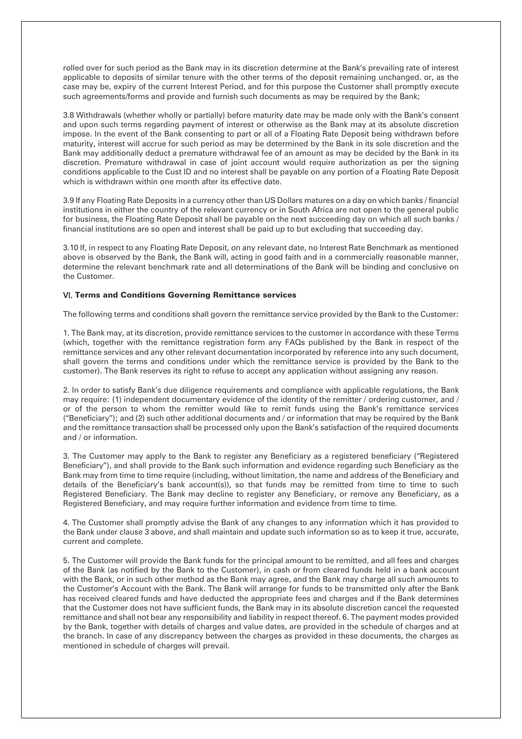rolled over for such period as the Bank may in its discretion determine at the Bank's prevailing rate of interest applicable to deposits of similar tenure with the other terms of the deposit remaining unchanged. or, as the case may be, expiry of the current Interest Period, and for this purpose the Customer shall promptly execute such agreements/forms and provide and furnish such documents as may be required by the Bank;

3.8 Withdrawals (whether wholly or partially) before maturity date may be made only with the Bank's consent and upon such terms regarding payment of interest or otherwise as the Bank may at its absolute discretion impose. In the event of the Bank consenting to part or all of a Floating Rate Deposit being withdrawn before maturity, interest will accrue for such period as may be determined by the Bank in its sole discretion and the Bank may additionally deduct a premature withdrawal fee of an amount as may be decided by the Bank in its discretion. Premature withdrawal in case of joint account would require authorization as per the signing conditions applicable to the Cust ID and no interest shall be payable on any portion of a Floating Rate Deposit which is withdrawn within one month after its effective date.

3.9 If any Floating Rate Deposits in a currency other than US Dollars matures on a day on which banks / financial institutions in either the country of the relevant currency or in South Africa are not open to the general public for business, the Floating Rate Deposit shall be payable on the next succeeding day on which all such banks / financial institutions are so open and interest shall be paid up to but excluding that succeeding day.

3.10 If, in respect to any Floating Rate Deposit, on any relevant date, no Interest Rate Benchmark as mentioned above is observed by the Bank, the Bank will, acting in good faith and in a commercially reasonable manner, determine the relevant benchmark rate and all determinations of the Bank will be binding and conclusive on the Customer.

### VI. Terms and Conditions Governing Remittance services

The following terms and conditions shall govern the remittance service provided by the Bank to the Customer:

1. The Bank may, at its discretion, provide remittance services to the customer in accordance with these Terms (which, together with the remittance registration form any FAQs published by the Bank in respect of the remittance services and any other relevant documentation incorporated by reference into any such document, shall govern the terms and conditions under which the remittance service is provided by the Bank to the customer). The Bank reserves its right to refuse to accept any application without assigning any reason.

2. In order to satisfy Bank's due diligence requirements and compliance with applicable regulations, the Bank may require: (1) independent documentary evidence of the identity of the remitter / ordering customer, and / or of the person to whom the remitter would like to remit funds using the Bank's remittance services ("Beneficiary"); and (2) such other additional documents and / or information that may be required by the Bank and the remittance transaction shall be processed only upon the Bank's satisfaction of the required documents and / or information.

3. The Customer may apply to the Bank to register any Beneficiary as a registered beneficiary ("Registered Beneficiary"), and shall provide to the Bank such information and evidence regarding such Beneficiary as the Bank may from time to time require (including, without limitation, the name and address of the Beneficiary and details of the Beneficiary's bank account(s)), so that funds may be remitted from time to time to such Registered Beneficiary. The Bank may decline to register any Beneficiary, or remove any Beneficiary, as a Registered Beneficiary, and may require further information and evidence from time to time.

4. The Customer shall promptly advise the Bank of any changes to any information which it has provided to the Bank under clause 3 above, and shall maintain and update such information so as to keep it true, accurate, current and complete.

5. The Customer will provide the Bank funds for the principal amount to be remitted, and all fees and charges of the Bank (as notified by the Bank to the Customer), in cash or from cleared funds held in a bank account with the Bank, or in such other method as the Bank may agree, and the Bank may charge all such amounts to the Customer's Account with the Bank. The Bank will arrange for funds to be transmitted only after the Bank has received cleared funds and have deducted the appropriate fees and charges and if the Bank determines that the Customer does not have sufficient funds, the Bank may in its absolute discretion cancel the requested remittance and shall not bear any responsibility and liability in respect thereof. 6. The payment modes provided by the Bank, together with details of charges and value dates, are provided in the schedule of charges and at the branch. In case of any discrepancy between the charges as provided in these documents, the charges as mentioned in schedule of charges will prevail.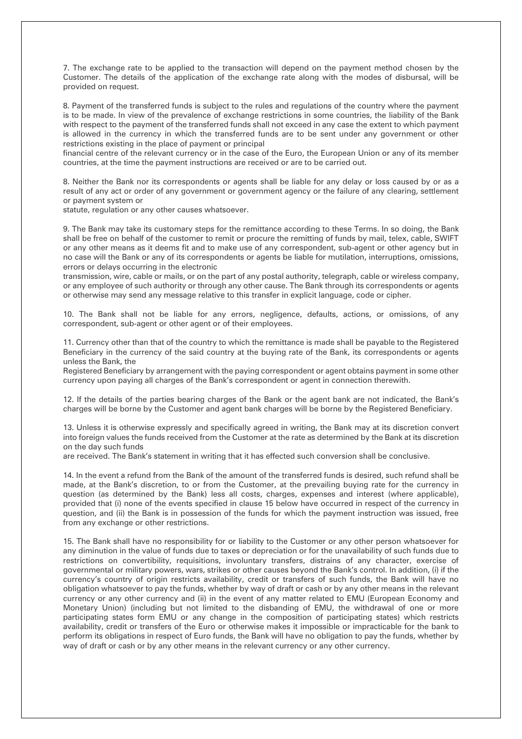7. The exchange rate to be applied to the transaction will depend on the payment method chosen by the Customer. The details of the application of the exchange rate along with the modes of disbursal, will be provided on request.

8. Payment of the transferred funds is subject to the rules and regulations of the country where the payment is to be made. In view of the prevalence of exchange restrictions in some countries, the liability of the Bank with respect to the payment of the transferred funds shall not exceed in any case the extent to which payment is allowed in the currency in which the transferred funds are to be sent under any government or other restrictions existing in the place of payment or principal

financial centre of the relevant currency or in the case of the Euro, the European Union or any of its member countries, at the time the payment instructions are received or are to be carried out.

8. Neither the Bank nor its correspondents or agents shall be liable for any delay or loss caused by or as a result of any act or order of any government or government agency or the failure of any clearing, settlement or payment system or

statute, regulation or any other causes whatsoever.

9. The Bank may take its customary steps for the remittance according to these Terms. In so doing, the Bank shall be free on behalf of the customer to remit or procure the remitting of funds by mail, telex, cable, SWIFT or any other means as it deems fit and to make use of any correspondent, sub-agent or other agency but in no case will the Bank or any of its correspondents or agents be liable for mutilation, interruptions, omissions, errors or delays occurring in the electronic

transmission, wire, cable or mails, or on the part of any postal authority, telegraph, cable or wireless company, or any employee of such authority or through any other cause. The Bank through its correspondents or agents or otherwise may send any message relative to this transfer in explicit language, code or cipher.

10. The Bank shall not be liable for any errors, negligence, defaults, actions, or omissions, of any correspondent, sub-agent or other agent or of their employees.

11. Currency other than that of the country to which the remittance is made shall be payable to the Registered Beneficiary in the currency of the said country at the buying rate of the Bank, its correspondents or agents unless the Bank, the

Registered Beneficiary by arrangement with the paying correspondent or agent obtains payment in some other currency upon paying all charges of the Bank's correspondent or agent in connection therewith.

12. If the details of the parties bearing charges of the Bank or the agent bank are not indicated, the Bank's charges will be borne by the Customer and agent bank charges will be borne by the Registered Beneficiary.

13. Unless it is otherwise expressly and specifically agreed in writing, the Bank may at its discretion convert into foreign values the funds received from the Customer at the rate as determined by the Bank at its discretion on the day such funds

are received. The Bank's statement in writing that it has effected such conversion shall be conclusive.

14. In the event a refund from the Bank of the amount of the transferred funds is desired, such refund shall be made, at the Bank's discretion, to or from the Customer, at the prevailing buying rate for the currency in question (as determined by the Bank) less all costs, charges, expenses and interest (where applicable), provided that (i) none of the events specified in clause 15 below have occurred in respect of the currency in question, and (ii) the Bank is in possession of the funds for which the payment instruction was issued, free from any exchange or other restrictions.

15. The Bank shall have no responsibility for or liability to the Customer or any other person whatsoever for any diminution in the value of funds due to taxes or depreciation or for the unavailability of such funds due to restrictions on convertibility, requisitions, involuntary transfers, distrains of any character, exercise of governmental or military powers, wars, strikes or other causes beyond the Bank's control. In addition, (i) if the currency's country of origin restricts availability, credit or transfers of such funds, the Bank will have no obligation whatsoever to pay the funds, whether by way of draft or cash or by any other means in the relevant currency or any other currency and (ii) in the event of any matter related to EMU (European Economy and Monetary Union) (including but not limited to the disbanding of EMU, the withdrawal of one or more participating states form EMU or any change in the composition of participating states) which restricts availability, credit or transfers of the Euro or otherwise makes it impossible or impracticable for the bank to perform its obligations in respect of Euro funds, the Bank will have no obligation to pay the funds, whether by way of draft or cash or by any other means in the relevant currency or any other currency.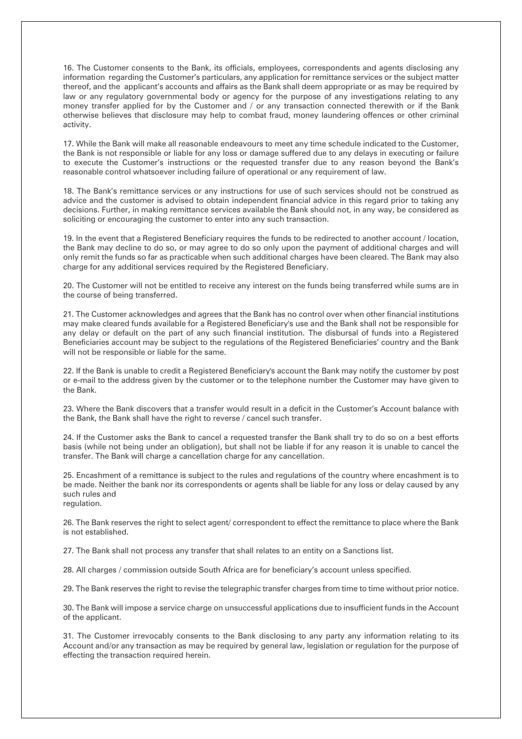16. The Customer consents to the Bank, its officials, employees, correspondents and agents disclosing any information regarding the Customer's particulars, any application for remittance services or the subject matter thereof, and the applicant's accounts and affairs as the Bank shall deem appropriate or as may be required by law or any regulatory governmental body or agency for the purpose of any investigations relating to any money transfer applied for by the Customer and / or any transaction connected therewith or if the Bank otherwise believes that disclosure may help to combat fraud, money laundering offences or other criminal activity.

17. While the Bank will make all reasonable endeavours to meet any time schedule indicated to the Customer, the Bank is not responsible or liable for any loss or damage suffered due to any delays in executing or failure to execute the Customer's instructions or the requested transfer due to any reason beyond the Bank's reasonable control whatsoever including failure of operational or any requirement of law.

18. The Bank's remittance services or any instructions for use of such services should not be construed as advice and the customer is advised to obtain independent financial advice in this regard prior to taking any decisions. Further, in making remittance services available the Bank should not, in any way, be considered as soliciting or encouraging the customer to enter into any such transaction.

19. In the event that a Registered Beneficiary requires the funds to be redirected to another account / location, the Bank may decline to do so, or may agree to do so only upon the payment of additional charges and will only remit the funds so far as practicable when such additional charges have been cleared. The Bank may also charge for any additional services required by the Registered Beneficiary.

20. The Customer will not be entitled to receive any interest on the funds being transferred while sums are in the course of being transferred.

21. The Customer acknowledges and agrees that the Bank has no control over when other financial institutions may make cleared funds available for a Registered Beneficiary's use and the Bank shall not be responsible for any delay or default on the part of any such financial institution. The disbursal of funds into a Registered Beneficiaries account may be subject to the regulations of the Registered Beneficiaries' country and the Bank will not be responsible or liable for the same.

22. If the Bank is unable to credit a Registered Beneficiary's account the Bank may notify the customer by post or e-mail to the address given by the customer or to the telephone number the Customer may have given to the Bank.

23. Where the Bank discovers that a transfer would result in a deficit in the Customer's Account balance with the Bank, the Bank shall have the right to reverse / cancel such transfer.

24. If the Customer asks the Bank to cancel a requested transfer the Bank shall try to do so on a best efforts basis (while not being under an obligation), but shall not be liable if for any reason it is unable to cancel the transfer. The Bank will charge a cancellation charge for any cancellation.

25. Encashment of a remittance is subject to the rules and regulations of the country where encashment is to be made. Neither the bank nor its correspondents or agents shall be liable for any loss or delay caused by any such rules and regulation.

26. The Bank reserves the right to select agent/ correspondent to effect the remittance to place where the Bank is not established.

27. The Bank shall not process any transfer that shall relates to an entity on a Sanctions list.

28. All charges / commission outside South Africa are for beneficiary's account unless specified.

29. The Bank reserves the right to revise the telegraphic transfer charges from time to time without prior notice.

30. The Bank will impose a service charge on unsuccessful applications due to insufficient funds in the Account of the applicant.

31. The Customer irrevocably consents to the Bank disclosing to any party any information relating to its Account and/or any transaction as may be required by general law, legislation or regulation for the purpose of effecting the transaction required herein.